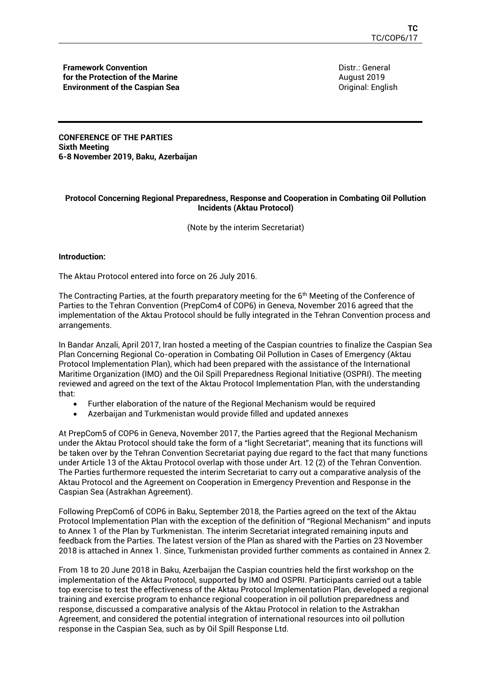**Framework Convention for the Protection of the Marine Environment of the Caspian Sea** Distr.: General August 2019 Original: English

**CONFERENCE OF THE PARTIES Sixth Meeting 6-8 November 2019, Baku, Azerbaijan** 

#### **Protocol Concerning Regional Preparedness, Response and Cooperation in Combating Oil Pollution Incidents (Aktau Protocol)**

(Note by the interim Secretariat)

#### **Introduction:**

The Aktau Protocol entered into force on 26 July 2016.

The Contracting Parties, at the fourth preparatory meeting for the 6<sup>th</sup> Meeting of the Conference of Parties to the Tehran Convention (PrepCom4 of COP6) in Geneva, November 2016 agreed that the implementation of the Aktau Protocol should be fully integrated in the Tehran Convention process and arrangements.

In Bandar Anzali, April 2017, Iran hosted a meeting of the Caspian countries to finalize the Caspian Sea Plan Concerning Regional Co-operation in Combating Oil Pollution in Cases of Emergency (Aktau Protocol Implementation Plan), which had been prepared with the assistance of the International Maritime Organization (IMO) and the Oil Spill Preparedness Regional Initiative (OSPRI). The meeting reviewed and agreed on the text of the Aktau Protocol Implementation Plan, with the understanding that:

- Further elaboration of the nature of the Regional Mechanism would be required
- Azerbaijan and Turkmenistan would provide filled and updated annexes

At PrepCom5 of COP6 in Geneva, November 2017, the Parties agreed that the Regional Mechanism under the Aktau Protocol should take the form of a "light Secretariat", meaning that its functions will be taken over by the Tehran Convention Secretariat paying due regard to the fact that many functions under Article 13 of the Aktau Protocol overlap with those under Art. 12 (2) of the Tehran Convention. The Parties furthermore requested the interim Secretariat to carry out a comparative analysis of the Aktau Protocol and the Agreement on Cooperation in Emergency Prevention and Response in the Caspian Sea (Astrakhan Agreement).

Following PrepCom6 of COP6 in Baku, September 2018, the Parties agreed on the text of the Aktau Protocol Implementation Plan with the exception of the definition of "Regional Mechanism" and inputs to Annex 1 of the Plan by Turkmenistan. The interim Secretariat integrated remaining inputs and feedback from the Parties. The latest version of the Plan as shared with the Parties on 23 November 2018 is attached in Annex 1. Since, Turkmenistan provided further comments as contained in Annex 2.

From 18 to 20 June 2018 in Baku, Azerbaijan the Caspian countries held the first workshop on the implementation of the Aktau Protocol, supported by IMO and OSPRI. Participants carried out a table top exercise to test the effectiveness of the Aktau Protocol Implementation Plan, developed a regional training and exercise program to enhance regional cooperation in oil pollution preparedness and response, discussed a comparative analysis of the Aktau Protocol in relation to the Astrakhan Agreement, and considered the potential integration of international resources into oil pollution response in the Caspian Sea, such as by Oil Spill Response Ltd.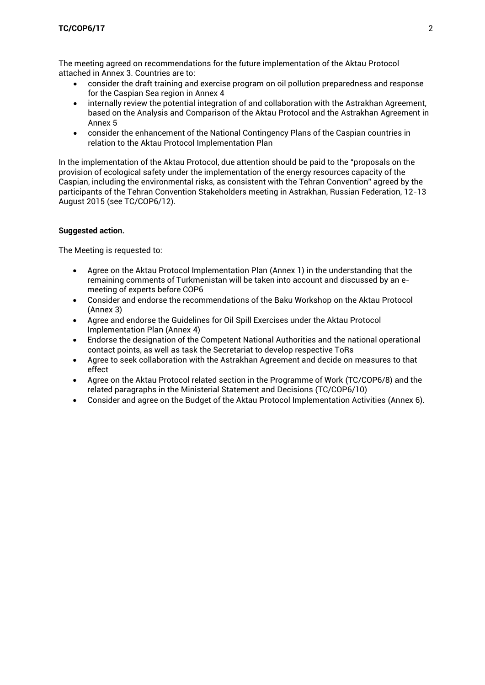The meeting agreed on recommendations for the future implementation of the Aktau Protocol attached in Annex 3. Countries are to:

- consider the draft training and exercise program on oil pollution preparedness and response for the Caspian Sea region in Annex 4
- internally review the potential integration of and collaboration with the Astrakhan Agreement, based on the Analysis and Comparison of the Aktau Protocol and the Astrakhan Agreement in Annex 5
- consider the enhancement of the National Contingency Plans of the Caspian countries in relation to the Aktau Protocol Implementation Plan

In the implementation of the Aktau Protocol, due attention should be paid to the "proposals on the provision of ecological safety under the implementation of the energy resources capacity of the Caspian, including the environmental risks, as consistent with the Tehran Convention" agreed by the participants of the Tehran Convention Stakeholders meeting in Astrakhan, Russian Federation, 12-13 August 2015 (see TC/COP6/12).

#### **Suggested action.**

The Meeting is requested to:

- Agree on the Aktau Protocol Implementation Plan (Annex 1) in the understanding that the remaining comments of Turkmenistan will be taken into account and discussed by an emeeting of experts before COP6
- Consider and endorse the recommendations of the Baku Workshop on the Aktau Protocol (Annex 3)
- Agree and endorse the Guidelines for Oil Spill Exercises under the Aktau Protocol Implementation Plan (Annex 4)
- Endorse the designation of the Competent National Authorities and the national operational contact points, as well as task the Secretariat to develop respective ToRs
- Agree to seek collaboration with the Astrakhan Agreement and decide on measures to that effect
- Agree on the Aktau Protocol related section in the Programme of Work (TC/COP6/8) and the related paragraphs in the Ministerial Statement and Decisions (TC/COP6/10)
- Consider and agree on the Budget of the Aktau Protocol Implementation Activities (Annex 6).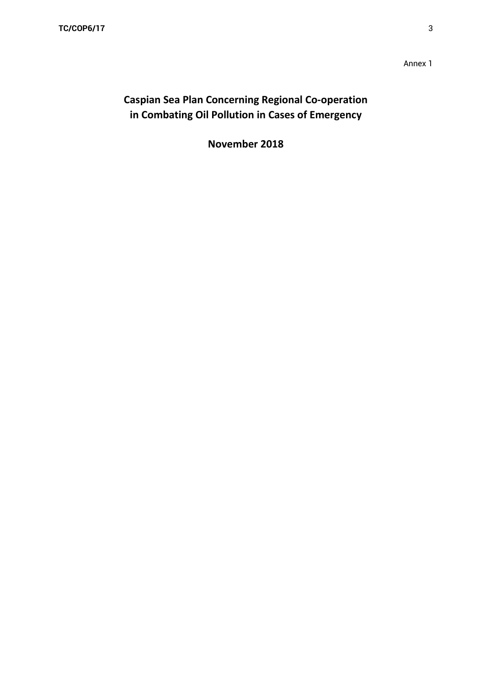Annex 1

# **Caspian Sea Plan Concerning Regional Co-operation in Combating Oil Pollution in Cases of Emergency**

**November 2018**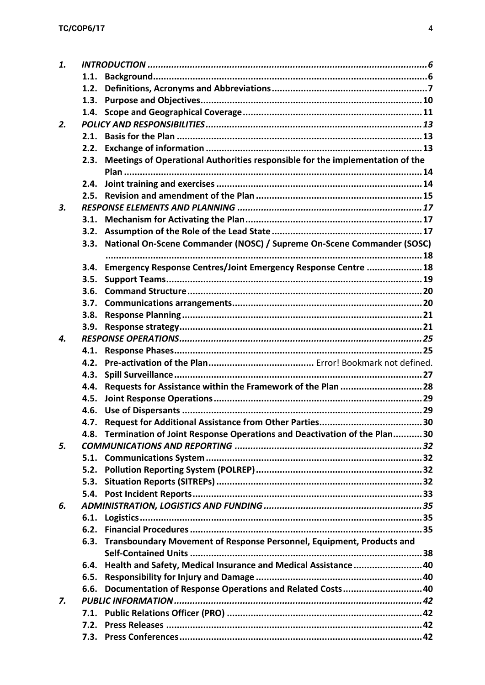| 1.                 |      |                                                                               |  |
|--------------------|------|-------------------------------------------------------------------------------|--|
|                    | 1.1. |                                                                               |  |
|                    | 1.2. |                                                                               |  |
|                    | 1.3. |                                                                               |  |
|                    | 1.4. |                                                                               |  |
| 2.                 |      |                                                                               |  |
|                    | 2.1. |                                                                               |  |
|                    | 2.2. |                                                                               |  |
|                    | 2.3. | Meetings of Operational Authorities responsible for the implementation of the |  |
|                    |      |                                                                               |  |
|                    | 2.4. |                                                                               |  |
|                    | 2.5. |                                                                               |  |
| 3.                 |      |                                                                               |  |
|                    | 3.1. |                                                                               |  |
|                    |      |                                                                               |  |
|                    | 3.3. | National On-Scene Commander (NOSC) / Supreme On-Scene Commander (SOSC)        |  |
|                    |      |                                                                               |  |
|                    | 3.4. | Emergency Response Centres/Joint Emergency Response Centre  18                |  |
|                    | 3.5. |                                                                               |  |
|                    | 3.6. |                                                                               |  |
|                    | 3.7. |                                                                               |  |
|                    | 3.8. |                                                                               |  |
|                    | 3.9. |                                                                               |  |
| $\boldsymbol{A}$ . |      |                                                                               |  |
|                    | 4.1. |                                                                               |  |
|                    | 4.2. |                                                                               |  |
|                    | 4.3. |                                                                               |  |
|                    | 4.4. |                                                                               |  |
|                    | 4.5. |                                                                               |  |
|                    | 4.6. |                                                                               |  |
|                    | 4.7. |                                                                               |  |
|                    |      | 4.8. Termination of Joint Response Operations and Deactivation of the Plan30  |  |
| 5.                 |      |                                                                               |  |
|                    |      |                                                                               |  |
|                    | 5.2. |                                                                               |  |
|                    | 5.3. |                                                                               |  |
|                    | 5.4. |                                                                               |  |
| 6.                 |      |                                                                               |  |
|                    | 6.1. |                                                                               |  |
|                    |      |                                                                               |  |
|                    |      | 6.3. Transboundary Movement of Response Personnel, Equipment, Products and    |  |
|                    |      |                                                                               |  |
|                    | 6.4. | Health and Safety, Medical Insurance and Medical Assistance 40                |  |
|                    | 6.5. |                                                                               |  |
|                    | 6.6. | Documentation of Response Operations and Related Costs 40                     |  |
| 7.                 |      |                                                                               |  |
|                    |      |                                                                               |  |
|                    | 7.2. |                                                                               |  |
|                    |      |                                                                               |  |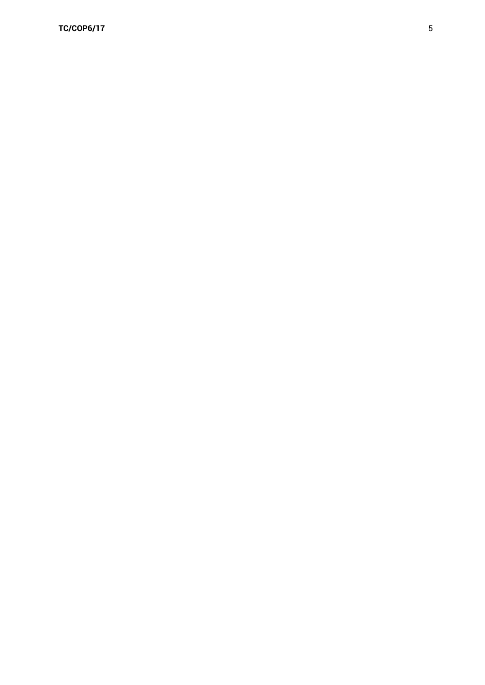**TC/COP6/17** 5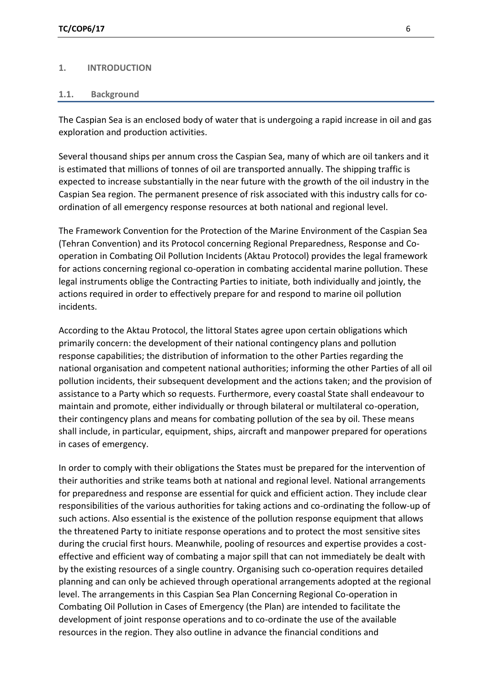## **1. INTRODUCTION**

### **1.1. Background**

The Caspian Sea is an enclosed body of water that is undergoing a rapid increase in oil and gas exploration and production activities.

Several thousand ships per annum cross the Caspian Sea, many of which are oil tankers and it is estimated that millions of tonnes of oil are transported annually. The shipping traffic is expected to increase substantially in the near future with the growth of the oil industry in the Caspian Sea region. The permanent presence of risk associated with this industry calls for coordination of all emergency response resources at both national and regional level.

The Framework Convention for the Protection of the Marine Environment of the Caspian Sea (Tehran Convention) and its Protocol concerning Regional Preparedness, Response and Cooperation in Combating Oil Pollution Incidents (Aktau Protocol) provides the legal framework for actions concerning regional co-operation in combating accidental marine pollution. These legal instruments oblige the Contracting Parties to initiate, both individually and jointly, the actions required in order to effectively prepare for and respond to marine oil pollution incidents.

According to the Aktau Protocol, the littoral States agree upon certain obligations which primarily concern: the development of their national contingency plans and pollution response capabilities; the distribution of information to the other Parties regarding the national organisation and competent national authorities; informing the other Parties of all oil pollution incidents, their subsequent development and the actions taken; and the provision of assistance to a Party which so requests. Furthermore, every coastal State shall endeavour to maintain and promote, either individually or through bilateral or multilateral co-operation, their contingency plans and means for combating pollution of the sea by oil. These means shall include, in particular, equipment, ships, aircraft and manpower prepared for operations in cases of emergency.

In order to comply with their obligations the States must be prepared for the intervention of their authorities and strike teams both at national and regional level. National arrangements for preparedness and response are essential for quick and efficient action. They include clear responsibilities of the various authorities for taking actions and co-ordinating the follow-up of such actions. Also essential is the existence of the pollution response equipment that allows the threatened Party to initiate response operations and to protect the most sensitive sites during the crucial first hours. Meanwhile, pooling of resources and expertise provides a costeffective and efficient way of combating a major spill that can not immediately be dealt with by the existing resources of a single country. Organising such co-operation requires detailed planning and can only be achieved through operational arrangements adopted at the regional level. The arrangements in this Caspian Sea Plan Concerning Regional Co-operation in Combating Oil Pollution in Cases of Emergency (the Plan) are intended to facilitate the development of joint response operations and to co-ordinate the use of the available resources in the region. They also outline in advance the financial conditions and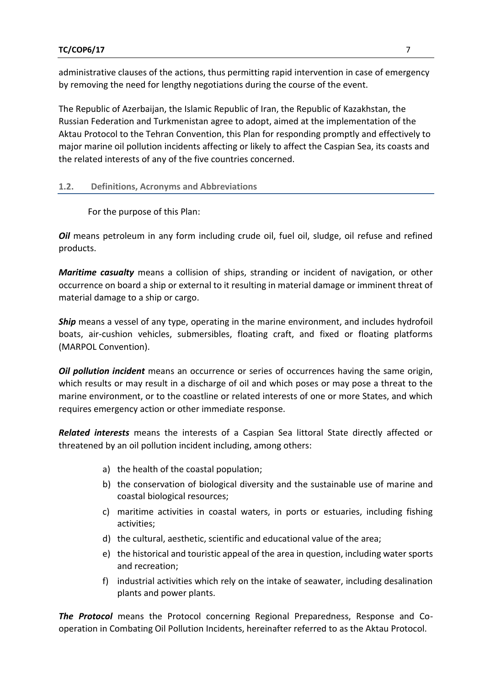administrative clauses of the actions, thus permitting rapid intervention in case of emergency by removing the need for lengthy negotiations during the course of the event.

The Republic of Azerbaijan, the Islamic Republic of Iran, the Republic of Kazakhstan, the Russian Federation and Turkmenistan agree to adopt, aimed at the implementation of the Aktau Protocol to the Tehran Convention, this Plan for responding promptly and effectively to major marine oil pollution incidents affecting or likely to affect the Caspian Sea, its coasts and the related interests of any of the five countries concerned.

## **1.2. Definitions, Acronyms and Abbreviations**

For the purpose of this Plan:

*Oil* means petroleum in any form including crude oil, fuel oil, sludge, oil refuse and refined products.

*Maritime casualty* means a collision of ships, stranding or incident of navigation, or other occurrence on board a ship or external to it resulting in material damage or imminent threat of material damage to a ship or cargo.

*Ship* means a vessel of any type, operating in the marine environment, and includes hydrofoil boats, air-cushion vehicles, submersibles, floating craft, and fixed or floating platforms (MARPOL Convention).

*Oil pollution incident* means an occurrence or series of occurrences having the same origin, which results or may result in a discharge of oil and which poses or may pose a threat to the marine environment, or to the coastline or related interests of one or more States, and which requires emergency action or other immediate response.

*Related interests* means the interests of a Caspian Sea littoral State directly affected or threatened by an oil pollution incident including, among others:

- a) the health of the coastal population;
- b) the conservation of biological diversity and the sustainable use of marine and coastal biological resources;
- c) maritime activities in coastal waters, in ports or estuaries, including fishing activities;
- d) the cultural, aesthetic, scientific and educational value of the area;
- e) the historical and touristic appeal of the area in question, including water sports and recreation;
- f) industrial activities which rely on the intake of seawater, including desalination plants and power plants.

*The Protocol* means the Protocol concerning Regional Preparedness, Response and Cooperation in Combating Oil Pollution Incidents, hereinafter referred to as the Aktau Protocol.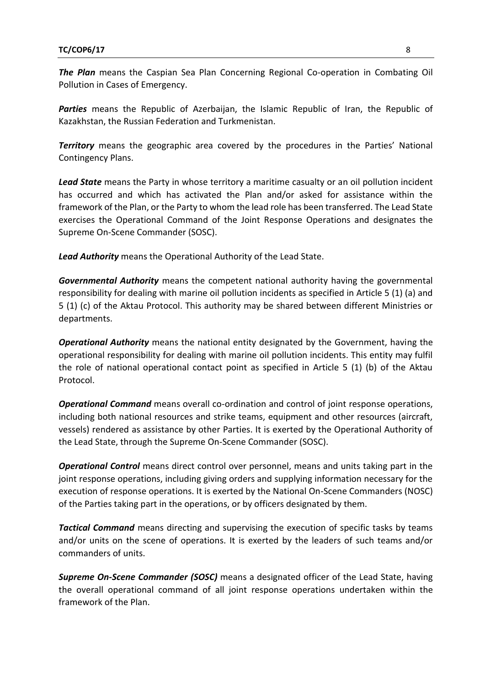*The Plan* means the Caspian Sea Plan Concerning Regional Co-operation in Combating Oil Pollution in Cases of Emergency.

*Parties* means the Republic of Azerbaijan, the Islamic Republic of Iran, the Republic of Kazakhstan, the Russian Federation and Turkmenistan.

*Territory* means the geographic area covered by the procedures in the Parties' National Contingency Plans.

*Lead State* means the Party in whose territory a maritime casualty or an oil pollution incident has occurred and which has activated the Plan and/or asked for assistance within the framework of the Plan, or the Party to whom the lead role has been transferred. The Lead State exercises the Operational Command of the Joint Response Operations and designates the Supreme On-Scene Commander (SOSC).

*Lead Authority* means the Operational Authority of the Lead State.

*Governmental Authority* means the competent national authority having the governmental responsibility for dealing with marine oil pollution incidents as specified in Article 5 (1) (a) and 5 (1) (c) of the Aktau Protocol. This authority may be shared between different Ministries or departments.

*Operational Authority* means the national entity designated by the Government, having the operational responsibility for dealing with marine oil pollution incidents. This entity may fulfil the role of national operational contact point as specified in Article 5 (1) (b) of the Aktau Protocol.

*Operational Command* means overall co-ordination and control of joint response operations, including both national resources and strike teams, equipment and other resources (aircraft, vessels) rendered as assistance by other Parties. It is exerted by the Operational Authority of the Lead State, through the Supreme On-Scene Commander (SOSC).

*Operational Control* means direct control over personnel, means and units taking part in the joint response operations, including giving orders and supplying information necessary for the execution of response operations. It is exerted by the National On-Scene Commanders (NOSC) of the Parties taking part in the operations, or by officers designated by them.

*Tactical Command* means directing and supervising the execution of specific tasks by teams and/or units on the scene of operations. It is exerted by the leaders of such teams and/or commanders of units.

*Supreme On-Scene Commander (SOSC)* means a designated officer of the Lead State, having the overall operational command of all joint response operations undertaken within the framework of the Plan.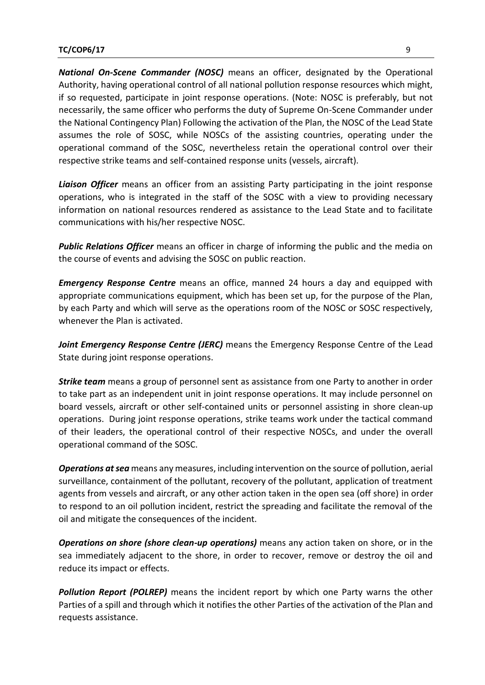*National On-Scene Commander (NOSC)* means an officer, designated by the Operational Authority, having operational control of all national pollution response resources which might, if so requested, participate in joint response operations. (Note: NOSC is preferably, but not necessarily, the same officer who performs the duty of Supreme On-Scene Commander under the National Contingency Plan) Following the activation of the Plan, the NOSC of the Lead State assumes the role of SOSC, while NOSCs of the assisting countries, operating under the operational command of the SOSC, nevertheless retain the operational control over their respective strike teams and self-contained response units (vessels, aircraft).

*Liaison Officer* means an officer from an assisting Party participating in the joint response operations, who is integrated in the staff of the SOSC with a view to providing necessary information on national resources rendered as assistance to the Lead State and to facilitate communications with his/her respective NOSC.

*Public Relations Officer* means an officer in charge of informing the public and the media on the course of events and advising the SOSC on public reaction.

*Emergency Response Centre* means an office, manned 24 hours a day and equipped with appropriate communications equipment, which has been set up, for the purpose of the Plan, by each Party and which will serve as the operations room of the NOSC or SOSC respectively, whenever the Plan is activated.

*Joint Emergency Response Centre (JERC)* means the Emergency Response Centre of the Lead State during joint response operations.

*Strike team* means a group of personnel sent as assistance from one Party to another in order to take part as an independent unit in joint response operations. It may include personnel on board vessels, aircraft or other self-contained units or personnel assisting in shore clean-up operations. During joint response operations, strike teams work under the tactical command of their leaders, the operational control of their respective NOSCs, and under the overall operational command of the SOSC.

*Operations at sea* means any measures, including intervention on the source of pollution, aerial surveillance, containment of the pollutant, recovery of the pollutant, application of treatment agents from vessels and aircraft, or any other action taken in the open sea (off shore) in order to respond to an oil pollution incident, restrict the spreading and facilitate the removal of the oil and mitigate the consequences of the incident.

*Operations on shore (shore clean-up operations)* means any action taken on shore, or in the sea immediately adjacent to the shore, in order to recover, remove or destroy the oil and reduce its impact or effects.

*Pollution Report (POLREP)* means the incident report by which one Party warns the other Parties of a spill and through which it notifies the other Parties of the activation of the Plan and requests assistance.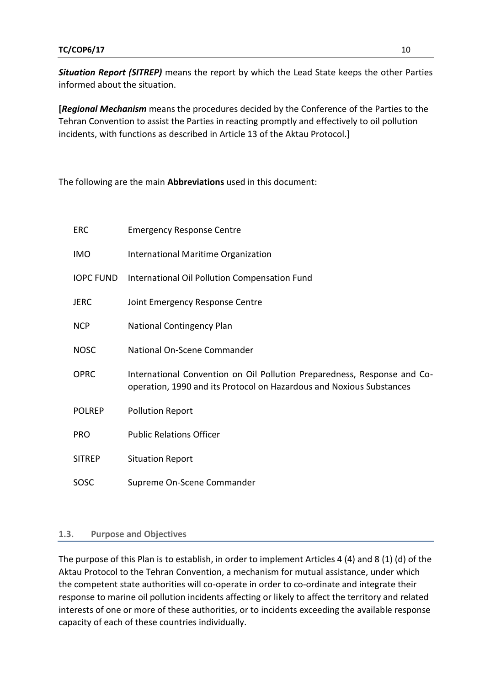*Situation Report (SITREP)* means the report by which the Lead State keeps the other Parties informed about the situation.

**[***Regional Mechanism* means the procedures decided by the Conference of the Parties to the Tehran Convention to assist the Parties in reacting promptly and effectively to oil pollution incidents, with functions as described in Article 13 of the Aktau Protocol.]

The following are the main **Abbreviations** used in this document:

| <b>ERC</b>       | <b>Emergency Response Centre</b>                                                                                                                 |  |  |
|------------------|--------------------------------------------------------------------------------------------------------------------------------------------------|--|--|
| <b>IMO</b>       | International Maritime Organization                                                                                                              |  |  |
| <b>IOPC FUND</b> | International Oil Pollution Compensation Fund                                                                                                    |  |  |
| <b>JERC</b>      | Joint Emergency Response Centre                                                                                                                  |  |  |
| <b>NCP</b>       | <b>National Contingency Plan</b>                                                                                                                 |  |  |
| <b>NOSC</b>      | National On-Scene Commander                                                                                                                      |  |  |
| <b>OPRC</b>      | International Convention on Oil Pollution Preparedness, Response and Co-<br>operation, 1990 and its Protocol on Hazardous and Noxious Substances |  |  |
| <b>POLREP</b>    | <b>Pollution Report</b>                                                                                                                          |  |  |
| <b>PRO</b>       | <b>Public Relations Officer</b>                                                                                                                  |  |  |
| <b>SITREP</b>    | <b>Situation Report</b>                                                                                                                          |  |  |
| SOSC             | Supreme On-Scene Commander                                                                                                                       |  |  |

### **1.3. Purpose and Objectives**

The purpose of this Plan is to establish, in order to implement Articles 4 (4) and 8 (1) (d) of the Aktau Protocol to the Tehran Convention, a mechanism for mutual assistance, under which the competent state authorities will co-operate in order to co-ordinate and integrate their response to marine oil pollution incidents affecting or likely to affect the territory and related interests of one or more of these authorities, or to incidents exceeding the available response capacity of each of these countries individually.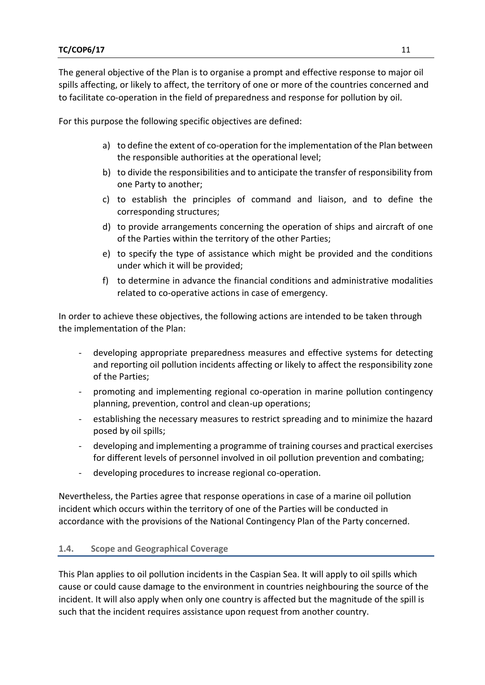The general objective of the Plan is to organise a prompt and effective response to major oil spills affecting, or likely to affect, the territory of one or more of the countries concerned and to facilitate co-operation in the field of preparedness and response for pollution by oil.

For this purpose the following specific objectives are defined:

- a) to define the extent of co-operation for the implementation of the Plan between the responsible authorities at the operational level;
- b) to divide the responsibilities and to anticipate the transfer of responsibility from one Party to another;
- c) to establish the principles of command and liaison, and to define the corresponding structures;
- d) to provide arrangements concerning the operation of ships and aircraft of one of the Parties within the territory of the other Parties;
- e) to specify the type of assistance which might be provided and the conditions under which it will be provided;
- f) to determine in advance the financial conditions and administrative modalities related to co-operative actions in case of emergency.

In order to achieve these objectives, the following actions are intended to be taken through the implementation of the Plan:

- developing appropriate preparedness measures and effective systems for detecting and reporting oil pollution incidents affecting or likely to affect the responsibility zone of the Parties;
- promoting and implementing regional co-operation in marine pollution contingency planning, prevention, control and clean-up operations;
- establishing the necessary measures to restrict spreading and to minimize the hazard posed by oil spills;
- developing and implementing a programme of training courses and practical exercises for different levels of personnel involved in oil pollution prevention and combating;
- developing procedures to increase regional co-operation.

Nevertheless, the Parties agree that response operations in case of a marine oil pollution incident which occurs within the territory of one of the Parties will be conducted in accordance with the provisions of the National Contingency Plan of the Party concerned.

## **1.4. Scope and Geographical Coverage**

This Plan applies to oil pollution incidents in the Caspian Sea. It will apply to oil spills which cause or could cause damage to the environment in countries neighbouring the source of the incident. It will also apply when only one country is affected but the magnitude of the spill is such that the incident requires assistance upon request from another country.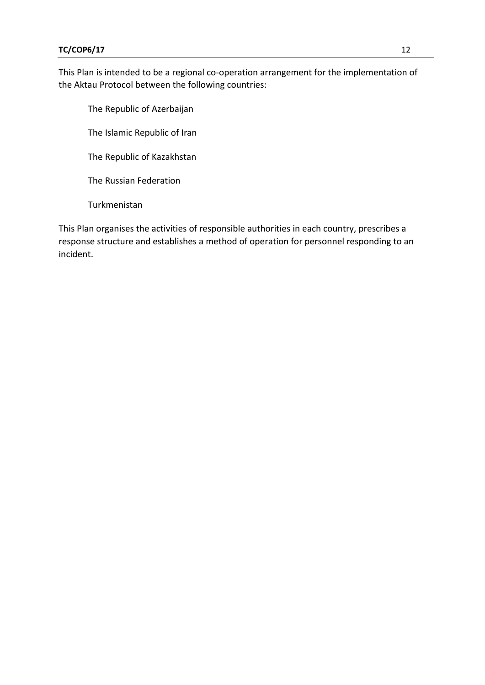This Plan is intended to be a regional co-operation arrangement for the implementation of the Aktau Protocol between the following countries:

The Republic of Azerbaijan The Islamic Republic of Iran The Republic of Kazakhstan The Russian Federation Turkmenistan

This Plan organises the activities of responsible authorities in each country, prescribes a response structure and establishes a method of operation for personnel responding to an incident.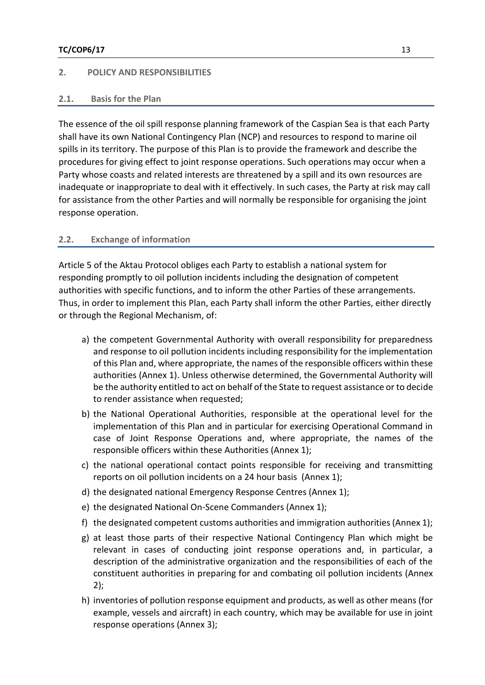### **2. POLICY AND RESPONSIBILITIES**

### **2.1. Basis for the Plan**

The essence of the oil spill response planning framework of the Caspian Sea is that each Party shall have its own National Contingency Plan (NCP) and resources to respond to marine oil spills in its territory. The purpose of this Plan is to provide the framework and describe the procedures for giving effect to joint response operations. Such operations may occur when a Party whose coasts and related interests are threatened by a spill and its own resources are inadequate or inappropriate to deal with it effectively. In such cases, the Party at risk may call for assistance from the other Parties and will normally be responsible for organising the joint response operation.

### **2.2. Exchange of information**

Article 5 of the Aktau Protocol obliges each Party to establish a national system for responding promptly to oil pollution incidents including the designation of competent authorities with specific functions, and to inform the other Parties of these arrangements. Thus, in order to implement this Plan, each Party shall inform the other Parties, either directly or through the Regional Mechanism, of:

- a) the competent Governmental Authority with overall responsibility for preparedness and response to oil pollution incidents including responsibility for the implementation of this Plan and, where appropriate, the names of the responsible officers within these authorities (Annex 1). Unless otherwise determined, the Governmental Authority will be the authority entitled to act on behalf of the State to request assistance or to decide to render assistance when requested;
- b) the National Operational Authorities, responsible at the operational level for the implementation of this Plan and in particular for exercising Operational Command in case of Joint Response Operations and, where appropriate, the names of the responsible officers within these Authorities (Annex 1);
- c) the national operational contact points responsible for receiving and transmitting reports on oil pollution incidents on a 24 hour basis (Annex 1);
- d) the designated national Emergency Response Centres (Annex 1);
- e) the designated National On-Scene Commanders (Annex 1);
- f) the designated competent customs authorities and immigration authorities (Annex 1);
- g) at least those parts of their respective National Contingency Plan which might be relevant in cases of conducting joint response operations and, in particular, a description of the administrative organization and the responsibilities of each of the constituent authorities in preparing for and combating oil pollution incidents (Annex 2);
- h) inventories of pollution response equipment and products, as well as other means (for example, vessels and aircraft) in each country, which may be available for use in joint response operations (Annex 3);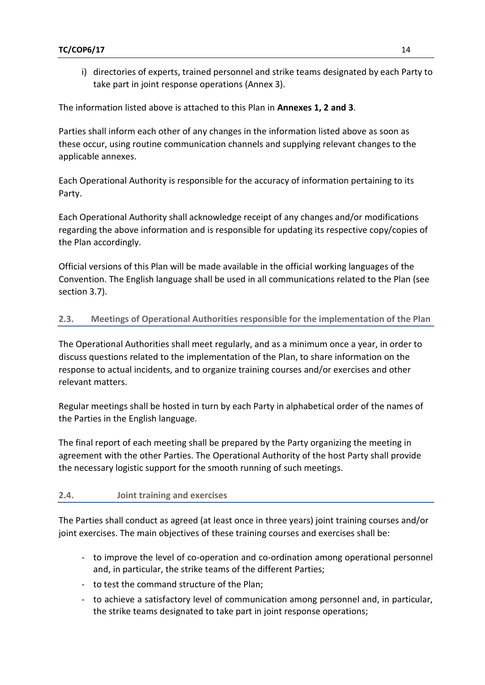i) directories of experts, trained personnel and strike teams designated by each Party to take part in joint response operations (Annex 3).

The information listed above is attached to this Plan in **Annexes 1, 2 and 3**.

Parties shall inform each other of any changes in the information listed above as soon as these occur, using routine communication channels and supplying relevant changes to the applicable annexes.

Each Operational Authority is responsible for the accuracy of information pertaining to its Party.

Each Operational Authority shall acknowledge receipt of any changes and/or modifications regarding the above information and is responsible for updating its respective copy/copies of the Plan accordingly.

Official versions of this Plan will be made available in the official working languages of the Convention. The English language shall be used in all communications related to the Plan (see section 3.7).

## **2.3. Meetings of Operational Authorities responsible for the implementation of the Plan**

The Operational Authorities shall meet regularly, and as a minimum once a year, in order to discuss questions related to the implementation of the Plan, to share information on the response to actual incidents, and to organize training courses and/or exercises and other relevant matters.

Regular meetings shall be hosted in turn by each Party in alphabetical order of the names of the Parties in the English language.

The final report of each meeting shall be prepared by the Party organizing the meeting in agreement with the other Parties. The Operational Authority of the host Party shall provide the necessary logistic support for the smooth running of such meetings.

## **2.4. Joint training and exercises**

The Parties shall conduct as agreed (at least once in three years) joint training courses and/or joint exercises. The main objectives of these training courses and exercises shall be:

- to improve the level of co-operation and co-ordination among operational personnel and, in particular, the strike teams of the different Parties;
- to test the command structure of the Plan;
- to achieve a satisfactory level of communication among personnel and, in particular, the strike teams designated to take part in joint response operations;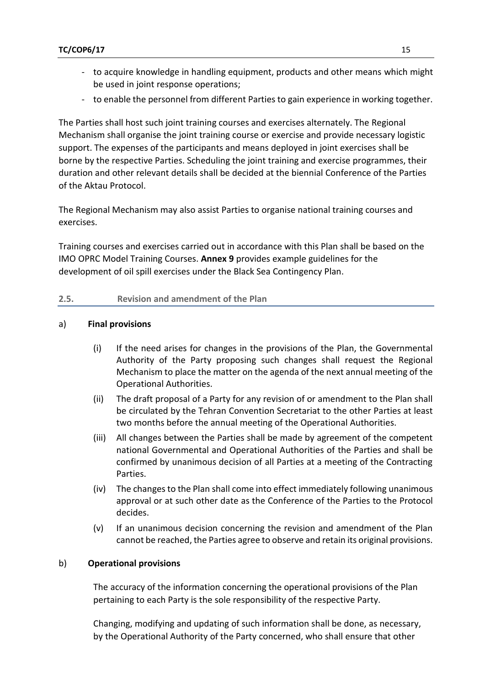- to acquire knowledge in handling equipment, products and other means which might be used in joint response operations;
- to enable the personnel from different Parties to gain experience in working together.

The Parties shall host such joint training courses and exercises alternately. The Regional Mechanism shall organise the joint training course or exercise and provide necessary logistic support. The expenses of the participants and means deployed in joint exercises shall be borne by the respective Parties. Scheduling the joint training and exercise programmes, their duration and other relevant details shall be decided at the biennial Conference of the Parties of the Aktau Protocol.

The Regional Mechanism may also assist Parties to organise national training courses and exercises.

Training courses and exercises carried out in accordance with this Plan shall be based on the IMO OPRC Model Training Courses. **Annex 9** provides example guidelines for the development of oil spill exercises under the Black Sea Contingency Plan.

### **2.5. Revision and amendment of the Plan**

### a) **Final provisions**

- (i) If the need arises for changes in the provisions of the Plan, the Governmental Authority of the Party proposing such changes shall request the Regional Mechanism to place the matter on the agenda of the next annual meeting of the Operational Authorities.
- (ii) The draft proposal of a Party for any revision of or amendment to the Plan shall be circulated by the Tehran Convention Secretariat to the other Parties at least two months before the annual meeting of the Operational Authorities.
- (iii) All changes between the Parties shall be made by agreement of the competent national Governmental and Operational Authorities of the Parties and shall be confirmed by unanimous decision of all Parties at a meeting of the Contracting Parties.
- (iv) The changes to the Plan shall come into effect immediately following unanimous approval or at such other date as the Conference of the Parties to the Protocol decides.
- (v) If an unanimous decision concerning the revision and amendment of the Plan cannot be reached, the Parties agree to observe and retain its original provisions.

### b) **Operational provisions**

The accuracy of the information concerning the operational provisions of the Plan pertaining to each Party is the sole responsibility of the respective Party.

Changing, modifying and updating of such information shall be done, as necessary, by the Operational Authority of the Party concerned, who shall ensure that other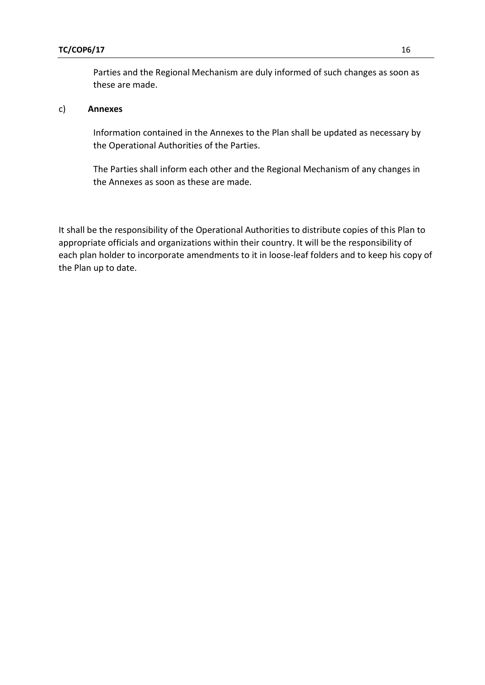Parties and the Regional Mechanism are duly informed of such changes as soon as these are made.

### c) **Annexes**

Information contained in the Annexes to the Plan shall be updated as necessary by the Operational Authorities of the Parties.

The Parties shall inform each other and the Regional Mechanism of any changes in the Annexes as soon as these are made.

It shall be the responsibility of the Operational Authorities to distribute copies of this Plan to appropriate officials and organizations within their country. It will be the responsibility of each plan holder to incorporate amendments to it in loose-leaf folders and to keep his copy of the Plan up to date.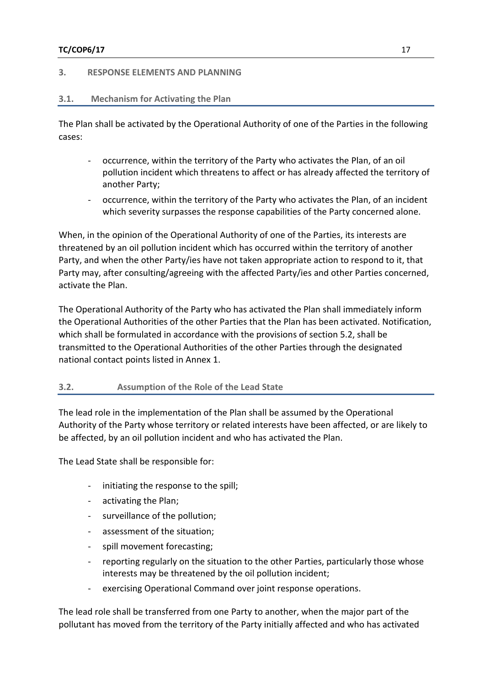## **3. RESPONSE ELEMENTS AND PLANNING**

## **3.1. Mechanism for Activating the Plan**

The Plan shall be activated by the Operational Authority of one of the Parties in the following cases:

- occurrence, within the territory of the Party who activates the Plan, of an oil pollution incident which threatens to affect or has already affected the territory of another Party;
- occurrence, within the territory of the Party who activates the Plan, of an incident which severity surpasses the response capabilities of the Party concerned alone.

When, in the opinion of the Operational Authority of one of the Parties, its interests are threatened by an oil pollution incident which has occurred within the territory of another Party, and when the other Party/ies have not taken appropriate action to respond to it, that Party may, after consulting/agreeing with the affected Party/ies and other Parties concerned, activate the Plan.

The Operational Authority of the Party who has activated the Plan shall immediately inform the Operational Authorities of the other Parties that the Plan has been activated. Notification, which shall be formulated in accordance with the provisions of section 5.2, shall be transmitted to the Operational Authorities of the other Parties through the designated national contact points listed in Annex 1.

## **3.2. Assumption of the Role of the Lead State**

The lead role in the implementation of the Plan shall be assumed by the Operational Authority of the Party whose territory or related interests have been affected, or are likely to be affected, by an oil pollution incident and who has activated the Plan.

The Lead State shall be responsible for:

- initiating the response to the spill;
- activating the Plan;
- surveillance of the pollution;
- assessment of the situation;
- spill movement forecasting;
- reporting regularly on the situation to the other Parties, particularly those whose interests may be threatened by the oil pollution incident;
- exercising Operational Command over joint response operations.

The lead role shall be transferred from one Party to another, when the major part of the pollutant has moved from the territory of the Party initially affected and who has activated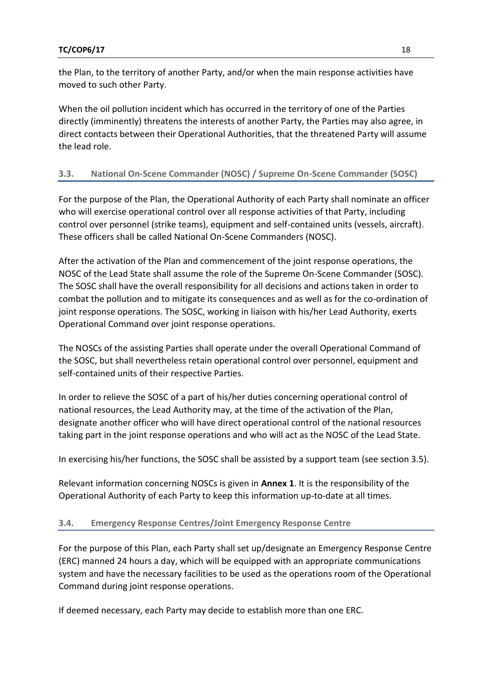the Plan, to the territory of another Party, and/or when the main response activities have moved to such other Party.

When the oil pollution incident which has occurred in the territory of one of the Parties directly (imminently) threatens the interests of another Party, the Parties may also agree, in direct contacts between their Operational Authorities, that the threatened Party will assume the lead role.

## **3.3. National On-Scene Commander (NOSC) / Supreme On-Scene Commander (SOSC)**

For the purpose of the Plan, the Operational Authority of each Party shall nominate an officer who will exercise operational control over all response activities of that Party, including control over personnel (strike teams), equipment and self-contained units (vessels, aircraft). These officers shall be called National On-Scene Commanders (NOSC).

After the activation of the Plan and commencement of the joint response operations, the NOSC of the Lead State shall assume the role of the Supreme On-Scene Commander (SOSC). The SOSC shall have the overall responsibility for all decisions and actions taken in order to combat the pollution and to mitigate its consequences and as well as for the co-ordination of joint response operations. The SOSC, working in liaison with his/her Lead Authority, exerts Operational Command over joint response operations.

The NOSCs of the assisting Parties shall operate under the overall Operational Command of the SOSC, but shall nevertheless retain operational control over personnel, equipment and self-contained units of their respective Parties.

In order to relieve the SOSC of a part of his/her duties concerning operational control of national resources, the Lead Authority may, at the time of the activation of the Plan, designate another officer who will have direct operational control of the national resources taking part in the joint response operations and who will act as the NOSC of the Lead State.

In exercising his/her functions, the SOSC shall be assisted by a support team (see section 3.5).

Relevant information concerning NOSCs is given in **Annex 1**. It is the responsibility of the Operational Authority of each Party to keep this information up-to-date at all times.

## **3.4. Emergency Response Centres/Joint Emergency Response Centre**

For the purpose of this Plan, each Party shall set up/designate an Emergency Response Centre (ERC) manned 24 hours a day, which will be equipped with an appropriate communications system and have the necessary facilities to be used as the operations room of the Operational Command during joint response operations.

If deemed necessary, each Party may decide to establish more than one ERC.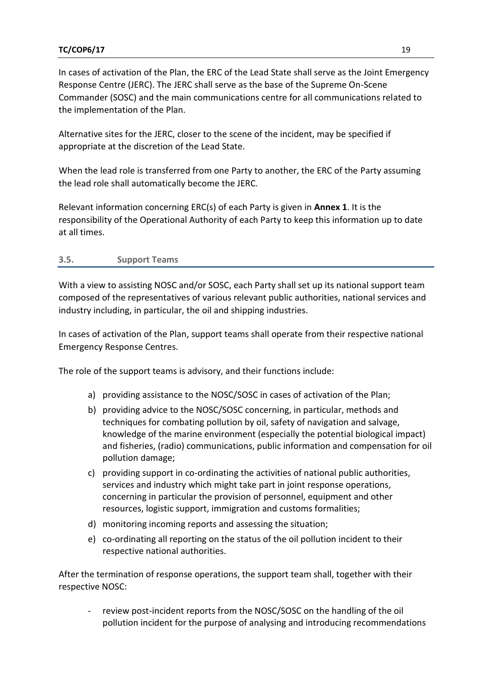In cases of activation of the Plan, the ERC of the Lead State shall serve as the Joint Emergency Response Centre (JERC). The JERC shall serve as the base of the Supreme On-Scene Commander (SOSC) and the main communications centre for all communications related to the implementation of the Plan.

Alternative sites for the JERC, closer to the scene of the incident, may be specified if appropriate at the discretion of the Lead State.

When the lead role is transferred from one Party to another, the ERC of the Party assuming the lead role shall automatically become the JERC.

Relevant information concerning ERC(s) of each Party is given in **Annex 1**. It is the responsibility of the Operational Authority of each Party to keep this information up to date at all times.

## **3.5. Support Teams**

With a view to assisting NOSC and/or SOSC, each Party shall set up its national support team composed of the representatives of various relevant public authorities, national services and industry including, in particular, the oil and shipping industries.

In cases of activation of the Plan, support teams shall operate from their respective national Emergency Response Centres.

The role of the support teams is advisory, and their functions include:

- a) providing assistance to the NOSC/SOSC in cases of activation of the Plan;
- b) providing advice to the NOSC/SOSC concerning, in particular, methods and techniques for combating pollution by oil, safety of navigation and salvage, knowledge of the marine environment (especially the potential biological impact) and fisheries, (radio) communications, public information and compensation for oil pollution damage;
- c) providing support in co-ordinating the activities of national public authorities, services and industry which might take part in joint response operations, concerning in particular the provision of personnel, equipment and other resources, logistic support, immigration and customs formalities;
- d) monitoring incoming reports and assessing the situation;
- e) co-ordinating all reporting on the status of the oil pollution incident to their respective national authorities.

After the termination of response operations, the support team shall, together with their respective NOSC:

review post-incident reports from the NOSC/SOSC on the handling of the oil pollution incident for the purpose of analysing and introducing recommendations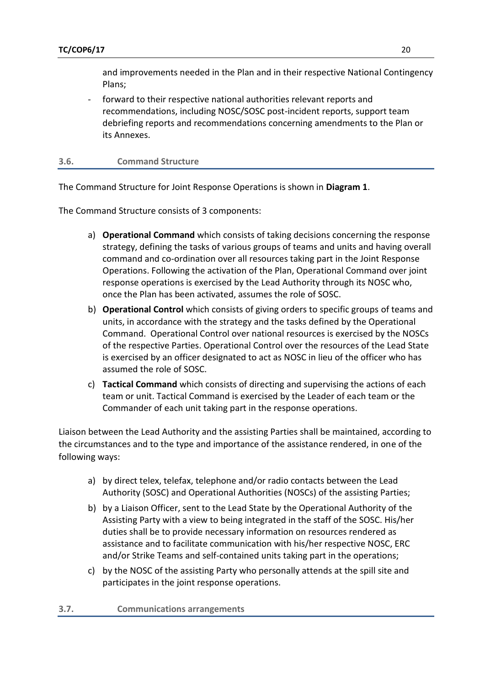and improvements needed in the Plan and in their respective National Contingency Plans;

forward to their respective national authorities relevant reports and recommendations, including NOSC/SOSC post-incident reports, support team debriefing reports and recommendations concerning amendments to the Plan or its Annexes.

## **3.6. Command Structure**

The Command Structure for Joint Response Operations is shown in **Diagram 1**.

The Command Structure consists of 3 components:

- a) **Operational Command** which consists of taking decisions concerning the response strategy, defining the tasks of various groups of teams and units and having overall command and co-ordination over all resources taking part in the Joint Response Operations. Following the activation of the Plan, Operational Command over joint response operations is exercised by the Lead Authority through its NOSC who, once the Plan has been activated, assumes the role of SOSC.
- b) **Operational Control** which consists of giving orders to specific groups of teams and units, in accordance with the strategy and the tasks defined by the Operational Command. Operational Control over national resources is exercised by the NOSCs of the respective Parties. Operational Control over the resources of the Lead State is exercised by an officer designated to act as NOSC in lieu of the officer who has assumed the role of SOSC.
- c) **Tactical Command** which consists of directing and supervising the actions of each team or unit. Tactical Command is exercised by the Leader of each team or the Commander of each unit taking part in the response operations.

Liaison between the Lead Authority and the assisting Parties shall be maintained, according to the circumstances and to the type and importance of the assistance rendered, in one of the following ways:

- a) by direct telex, telefax, telephone and/or radio contacts between the Lead Authority (SOSC) and Operational Authorities (NOSCs) of the assisting Parties;
- b) by a Liaison Officer, sent to the Lead State by the Operational Authority of the Assisting Party with a view to being integrated in the staff of the SOSC. His/her duties shall be to provide necessary information on resources rendered as assistance and to facilitate communication with his/her respective NOSC, ERC and/or Strike Teams and self-contained units taking part in the operations;
- c) by the NOSC of the assisting Party who personally attends at the spill site and participates in the joint response operations.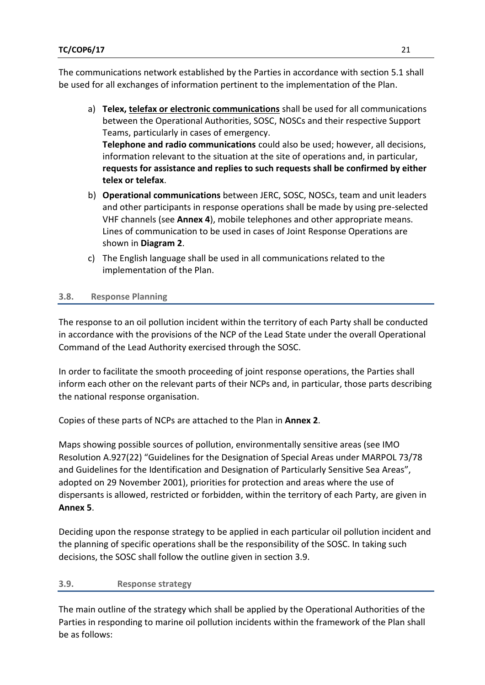The communications network established by the Parties in accordance with section 5.1 shall be used for all exchanges of information pertinent to the implementation of the Plan.

- a) **Telex, telefax or electronic communications** shall be used for all communications between the Operational Authorities, SOSC, NOSCs and their respective Support Teams, particularly in cases of emergency. **Telephone and radio communications** could also be used; however, all decisions, information relevant to the situation at the site of operations and, in particular, **requests for assistance and replies to such requests shall be confirmed by either telex or telefax**.
- b) **Operational communications** between JERC, SOSC, NOSCs, team and unit leaders and other participants in response operations shall be made by using pre-selected VHF channels (see **Annex 4**), mobile telephones and other appropriate means. Lines of communication to be used in cases of Joint Response Operations are shown in **Diagram 2**.
- c) The English language shall be used in all communications related to the implementation of the Plan.

## **3.8. Response Planning**

The response to an oil pollution incident within the territory of each Party shall be conducted in accordance with the provisions of the NCP of the Lead State under the overall Operational Command of the Lead Authority exercised through the SOSC.

In order to facilitate the smooth proceeding of joint response operations, the Parties shall inform each other on the relevant parts of their NCPs and, in particular, those parts describing the national response organisation.

Copies of these parts of NCPs are attached to the Plan in **Annex 2**.

Maps showing possible sources of pollution, environmentally sensitive areas (see IMO Resolution A.927(22) "Guidelines for the Designation of Special Areas under MARPOL 73/78 and Guidelines for the Identification and Designation of Particularly Sensitive Sea Areas", adopted on 29 November 2001), priorities for protection and areas where the use of dispersants is allowed, restricted or forbidden, within the territory of each Party, are given in **Annex 5**.

Deciding upon the response strategy to be applied in each particular oil pollution incident and the planning of specific operations shall be the responsibility of the SOSC. In taking such decisions, the SOSC shall follow the outline given in section 3.9.

## **3.9. Response strategy**

The main outline of the strategy which shall be applied by the Operational Authorities of the Parties in responding to marine oil pollution incidents within the framework of the Plan shall be as follows: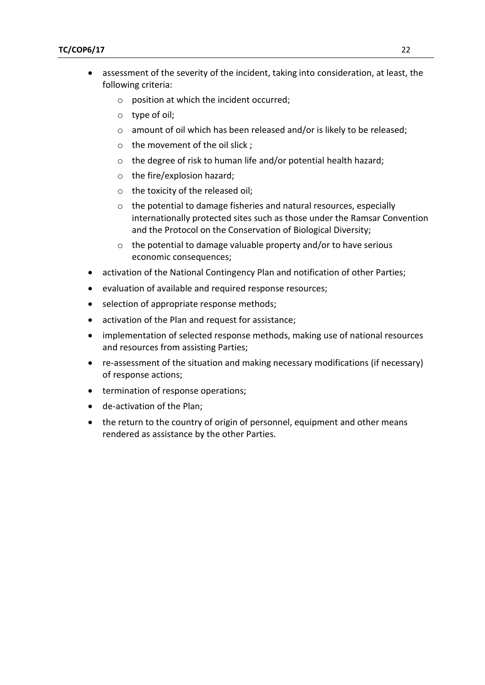- assessment of the severity of the incident, taking into consideration, at least, the following criteria:
	- o position at which the incident occurred;
	- o type of oil;
	- o amount of oil which has been released and/or is likely to be released;
	- o the movement of the oil slick ;
	- o the degree of risk to human life and/or potential health hazard;
	- o the fire/explosion hazard;
	- o the toxicity of the released oil;
	- o the potential to damage fisheries and natural resources, especially internationally protected sites such as those under the Ramsar Convention and the Protocol on the Conservation of Biological Diversity;
	- $\circ$  the potential to damage valuable property and/or to have serious economic consequences;
- activation of the National Contingency Plan and notification of other Parties;
- evaluation of available and required response resources;
- selection of appropriate response methods;
- activation of the Plan and request for assistance;
- implementation of selected response methods, making use of national resources and resources from assisting Parties;
- re-assessment of the situation and making necessary modifications (if necessary) of response actions;
- termination of response operations;
- de-activation of the Plan;
- the return to the country of origin of personnel, equipment and other means rendered as assistance by the other Parties.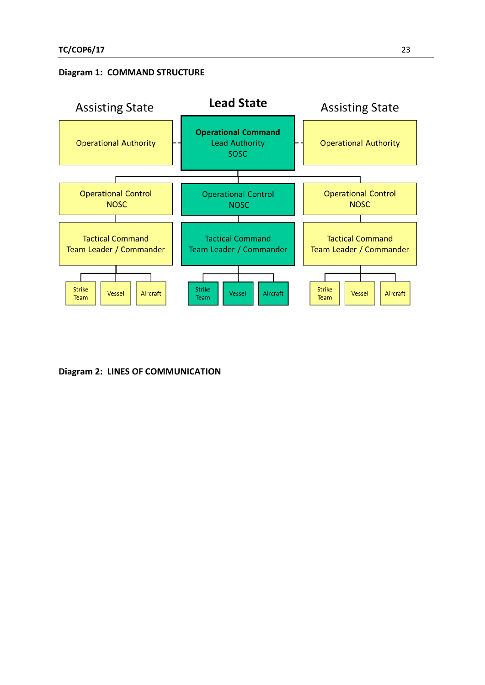### **Diagram 1: COMMAND STRUCTURE**



**Diagram 2: LINES OF COMMUNICATION**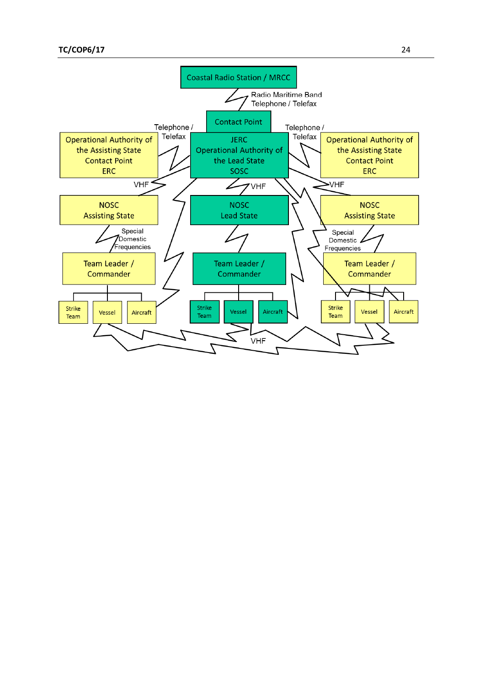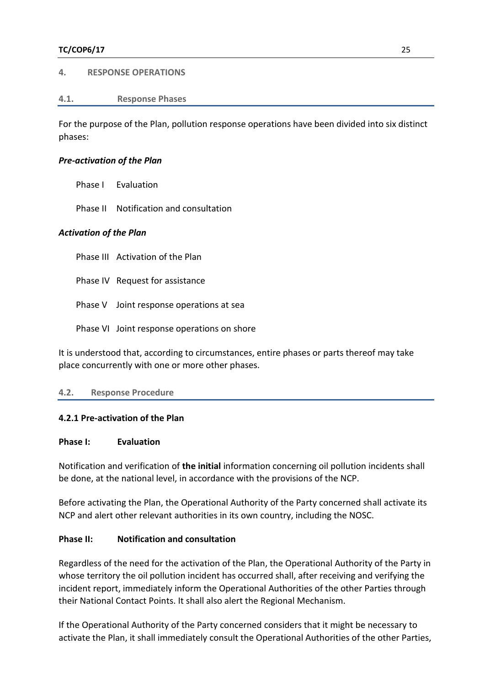### **4. RESPONSE OPERATIONS**

### **4.1. Response Phases**

For the purpose of the Plan, pollution response operations have been divided into six distinct phases:

### *Pre-activation of the Plan*

Phase I Evaluation Phase II Notification and consultation

## *Activation of the Plan*

Phase III Activation of the Plan

Phase IV Request for assistance

Phase V Joint response operations at sea

Phase VI Joint response operations on shore

It is understood that, according to circumstances, entire phases or parts thereof may take place concurrently with one or more other phases.

### **4.2. Response Procedure**

### **4.2.1 Pre-activation of the Plan**

## **Phase I: Evaluation**

Notification and verification of **the initial** information concerning oil pollution incidents shall be done, at the national level, in accordance with the provisions of the NCP.

Before activating the Plan, the Operational Authority of the Party concerned shall activate its NCP and alert other relevant authorities in its own country, including the NOSC.

### **Phase II: Notification and consultation**

Regardless of the need for the activation of the Plan, the Operational Authority of the Party in whose territory the oil pollution incident has occurred shall, after receiving and verifying the incident report, immediately inform the Operational Authorities of the other Parties through their National Contact Points. It shall also alert the Regional Mechanism.

If the Operational Authority of the Party concerned considers that it might be necessary to activate the Plan, it shall immediately consult the Operational Authorities of the other Parties,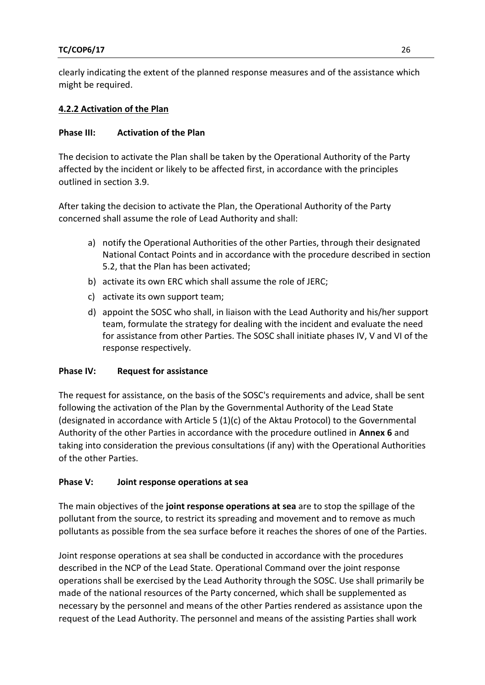clearly indicating the extent of the planned response measures and of the assistance which might be required.

## **4.2.2 Activation of the Plan**

## **Phase III: Activation of the Plan**

The decision to activate the Plan shall be taken by the Operational Authority of the Party affected by the incident or likely to be affected first, in accordance with the principles outlined in section 3.9.

After taking the decision to activate the Plan, the Operational Authority of the Party concerned shall assume the role of Lead Authority and shall:

- a) notify the Operational Authorities of the other Parties, through their designated National Contact Points and in accordance with the procedure described in section 5.2, that the Plan has been activated;
- b) activate its own ERC which shall assume the role of JERC;
- c) activate its own support team;
- d) appoint the SOSC who shall, in liaison with the Lead Authority and his/her support team, formulate the strategy for dealing with the incident and evaluate the need for assistance from other Parties. The SOSC shall initiate phases IV, V and VI of the response respectively.

## **Phase IV: Request for assistance**

The request for assistance, on the basis of the SOSC's requirements and advice, shall be sent following the activation of the Plan by the Governmental Authority of the Lead State (designated in accordance with Article 5 (1)(c) of the Aktau Protocol) to the Governmental Authority of the other Parties in accordance with the procedure outlined in **Annex 6** and taking into consideration the previous consultations (if any) with the Operational Authorities of the other Parties.

## **Phase V: Joint response operations at sea**

The main objectives of the **joint response operations at sea** are to stop the spillage of the pollutant from the source, to restrict its spreading and movement and to remove as much pollutants as possible from the sea surface before it reaches the shores of one of the Parties.

Joint response operations at sea shall be conducted in accordance with the procedures described in the NCP of the Lead State. Operational Command over the joint response operations shall be exercised by the Lead Authority through the SOSC. Use shall primarily be made of the national resources of the Party concerned, which shall be supplemented as necessary by the personnel and means of the other Parties rendered as assistance upon the request of the Lead Authority. The personnel and means of the assisting Parties shall work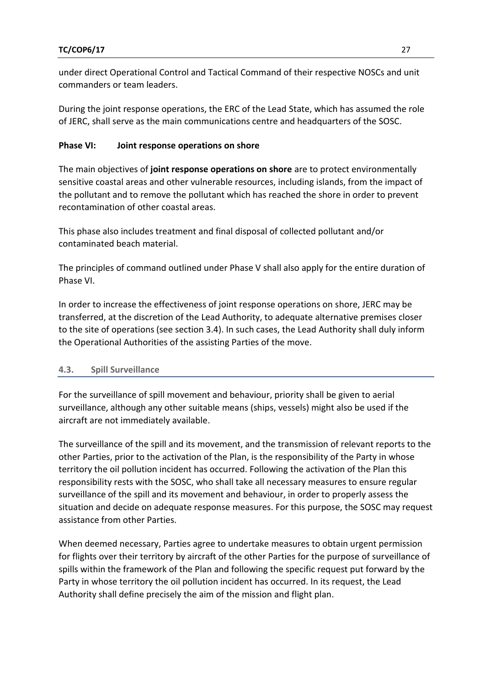under direct Operational Control and Tactical Command of their respective NOSCs and unit commanders or team leaders.

During the joint response operations, the ERC of the Lead State, which has assumed the role of JERC, shall serve as the main communications centre and headquarters of the SOSC.

## **Phase VI: Joint response operations on shore**

The main objectives of **joint response operations on shore** are to protect environmentally sensitive coastal areas and other vulnerable resources, including islands, from the impact of the pollutant and to remove the pollutant which has reached the shore in order to prevent recontamination of other coastal areas.

This phase also includes treatment and final disposal of collected pollutant and/or contaminated beach material.

The principles of command outlined under Phase V shall also apply for the entire duration of Phase VI.

In order to increase the effectiveness of joint response operations on shore, JERC may be transferred, at the discretion of the Lead Authority, to adequate alternative premises closer to the site of operations (see section 3.4). In such cases, the Lead Authority shall duly inform the Operational Authorities of the assisting Parties of the move.

## **4.3. Spill Surveillance**

For the surveillance of spill movement and behaviour, priority shall be given to aerial surveillance, although any other suitable means (ships, vessels) might also be used if the aircraft are not immediately available.

The surveillance of the spill and its movement, and the transmission of relevant reports to the other Parties, prior to the activation of the Plan, is the responsibility of the Party in whose territory the oil pollution incident has occurred. Following the activation of the Plan this responsibility rests with the SOSC, who shall take all necessary measures to ensure regular surveillance of the spill and its movement and behaviour, in order to properly assess the situation and decide on adequate response measures. For this purpose, the SOSC may request assistance from other Parties.

When deemed necessary, Parties agree to undertake measures to obtain urgent permission for flights over their territory by aircraft of the other Parties for the purpose of surveillance of spills within the framework of the Plan and following the specific request put forward by the Party in whose territory the oil pollution incident has occurred. In its request, the Lead Authority shall define precisely the aim of the mission and flight plan.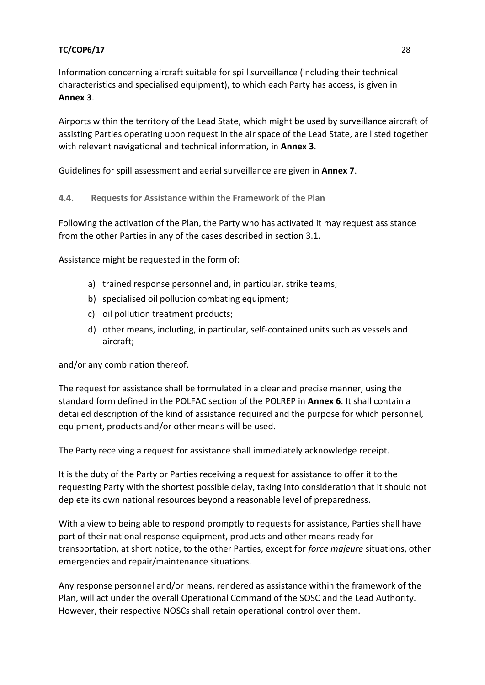Information concerning aircraft suitable for spill surveillance (including their technical characteristics and specialised equipment), to which each Party has access, is given in **Annex 3**.

Airports within the territory of the Lead State, which might be used by surveillance aircraft of assisting Parties operating upon request in the air space of the Lead State, are listed together with relevant navigational and technical information, in **Annex 3**.

Guidelines for spill assessment and aerial surveillance are given in **Annex 7**.

## **4.4. Requests for Assistance within the Framework of the Plan**

Following the activation of the Plan, the Party who has activated it may request assistance from the other Parties in any of the cases described in section 3.1.

Assistance might be requested in the form of:

- a) trained response personnel and, in particular, strike teams;
- b) specialised oil pollution combating equipment;
- c) oil pollution treatment products;
- d) other means, including, in particular, self-contained units such as vessels and aircraft;

and/or any combination thereof.

The request for assistance shall be formulated in a clear and precise manner, using the standard form defined in the POLFAC section of the POLREP in **Annex 6**. It shall contain a detailed description of the kind of assistance required and the purpose for which personnel, equipment, products and/or other means will be used.

The Party receiving a request for assistance shall immediately acknowledge receipt.

It is the duty of the Party or Parties receiving a request for assistance to offer it to the requesting Party with the shortest possible delay, taking into consideration that it should not deplete its own national resources beyond a reasonable level of preparedness.

With a view to being able to respond promptly to requests for assistance, Parties shall have part of their national response equipment, products and other means ready for transportation, at short notice, to the other Parties, except for *force majeure* situations, other emergencies and repair/maintenance situations.

Any response personnel and/or means, rendered as assistance within the framework of the Plan, will act under the overall Operational Command of the SOSC and the Lead Authority. However, their respective NOSCs shall retain operational control over them.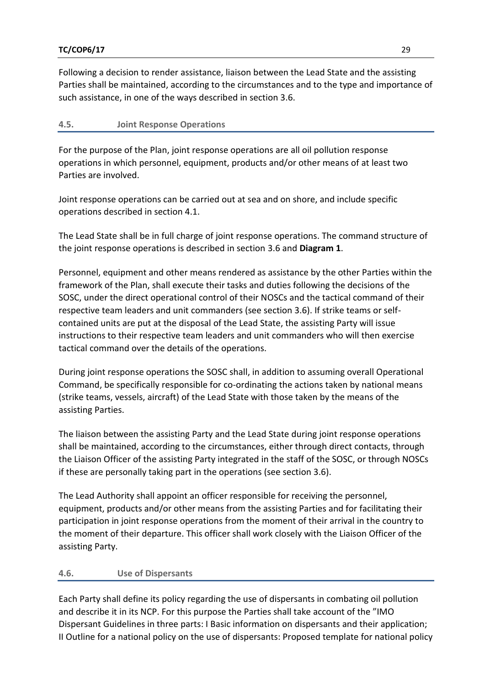Following a decision to render assistance, liaison between the Lead State and the assisting Parties shall be maintained, according to the circumstances and to the type and importance of such assistance, in one of the ways described in section 3.6.

### **4.5. Joint Response Operations**

For the purpose of the Plan, joint response operations are all oil pollution response operations in which personnel, equipment, products and/or other means of at least two Parties are involved.

Joint response operations can be carried out at sea and on shore, and include specific operations described in section 4.1.

The Lead State shall be in full charge of joint response operations. The command structure of the joint response operations is described in section 3.6 and **Diagram 1**.

Personnel, equipment and other means rendered as assistance by the other Parties within the framework of the Plan, shall execute their tasks and duties following the decisions of the SOSC, under the direct operational control of their NOSCs and the tactical command of their respective team leaders and unit commanders (see section 3.6). If strike teams or selfcontained units are put at the disposal of the Lead State, the assisting Party will issue instructions to their respective team leaders and unit commanders who will then exercise tactical command over the details of the operations.

During joint response operations the SOSC shall, in addition to assuming overall Operational Command, be specifically responsible for co-ordinating the actions taken by national means (strike teams, vessels, aircraft) of the Lead State with those taken by the means of the assisting Parties.

The liaison between the assisting Party and the Lead State during joint response operations shall be maintained, according to the circumstances, either through direct contacts, through the Liaison Officer of the assisting Party integrated in the staff of the SOSC, or through NOSCs if these are personally taking part in the operations (see section 3.6).

The Lead Authority shall appoint an officer responsible for receiving the personnel, equipment, products and/or other means from the assisting Parties and for facilitating their participation in joint response operations from the moment of their arrival in the country to the moment of their departure. This officer shall work closely with the Liaison Officer of the assisting Party.

## **4.6. Use of Dispersants**

Each Party shall define its policy regarding the use of dispersants in combating oil pollution and describe it in its NCP. For this purpose the Parties shall take account of the "IMO Dispersant Guidelines in three parts: I Basic information on dispersants and their application; II Outline for a national policy on the use of dispersants: Proposed template for national policy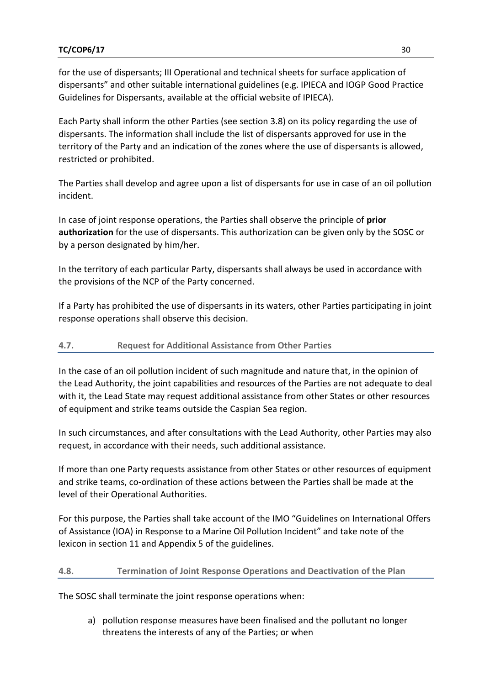for the use of dispersants; III Operational and technical sheets for surface application of dispersants" and other suitable international guidelines (e.g. IPIECA and IOGP Good Practice Guidelines for Dispersants, available at the official website of IPIECA).

Each Party shall inform the other Parties (see section 3.8) on its policy regarding the use of dispersants. The information shall include the list of dispersants approved for use in the territory of the Party and an indication of the zones where the use of dispersants is allowed, restricted or prohibited.

The Parties shall develop and agree upon a list of dispersants for use in case of an oil pollution incident.

In case of joint response operations, the Parties shall observe the principle of **prior authorization** for the use of dispersants. This authorization can be given only by the SOSC or by a person designated by him/her.

In the territory of each particular Party, dispersants shall always be used in accordance with the provisions of the NCP of the Party concerned.

If a Party has prohibited the use of dispersants in its waters, other Parties participating in joint response operations shall observe this decision.

## **4.7. Request for Additional Assistance from Other Parties**

In the case of an oil pollution incident of such magnitude and nature that, in the opinion of the Lead Authority, the joint capabilities and resources of the Parties are not adequate to deal with it, the Lead State may request additional assistance from other States or other resources of equipment and strike teams outside the Caspian Sea region.

In such circumstances, and after consultations with the Lead Authority, other Parties may also request, in accordance with their needs, such additional assistance.

If more than one Party requests assistance from other States or other resources of equipment and strike teams, co-ordination of these actions between the Parties shall be made at the level of their Operational Authorities.

For this purpose, the Parties shall take account of the IMO "Guidelines on International Offers of Assistance (IOA) in Response to a Marine Oil Pollution Incident" and take note of the lexicon in section 11 and Appendix 5 of the guidelines.

## **4.8. Termination of Joint Response Operations and Deactivation of the Plan**

The SOSC shall terminate the joint response operations when:

a) pollution response measures have been finalised and the pollutant no longer threatens the interests of any of the Parties; or when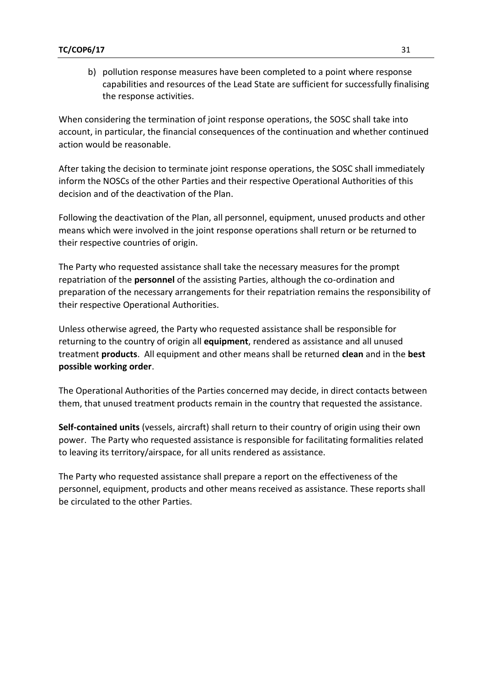b) pollution response measures have been completed to a point where response capabilities and resources of the Lead State are sufficient for successfully finalising the response activities.

When considering the termination of joint response operations, the SOSC shall take into account, in particular, the financial consequences of the continuation and whether continued action would be reasonable.

After taking the decision to terminate joint response operations, the SOSC shall immediately inform the NOSCs of the other Parties and their respective Operational Authorities of this decision and of the deactivation of the Plan.

Following the deactivation of the Plan, all personnel, equipment, unused products and other means which were involved in the joint response operations shall return or be returned to their respective countries of origin.

The Party who requested assistance shall take the necessary measures for the prompt repatriation of the **personnel** of the assisting Parties, although the co-ordination and preparation of the necessary arrangements for their repatriation remains the responsibility of their respective Operational Authorities.

Unless otherwise agreed, the Party who requested assistance shall be responsible for returning to the country of origin all **equipment**, rendered as assistance and all unused treatment **products**. All equipment and other means shall be returned **clean** and in the **best possible working order**.

The Operational Authorities of the Parties concerned may decide, in direct contacts between them, that unused treatment products remain in the country that requested the assistance.

**Self-contained units** (vessels, aircraft) shall return to their country of origin using their own power. The Party who requested assistance is responsible for facilitating formalities related to leaving its territory/airspace, for all units rendered as assistance.

The Party who requested assistance shall prepare a report on the effectiveness of the personnel, equipment, products and other means received as assistance. These reports shall be circulated to the other Parties.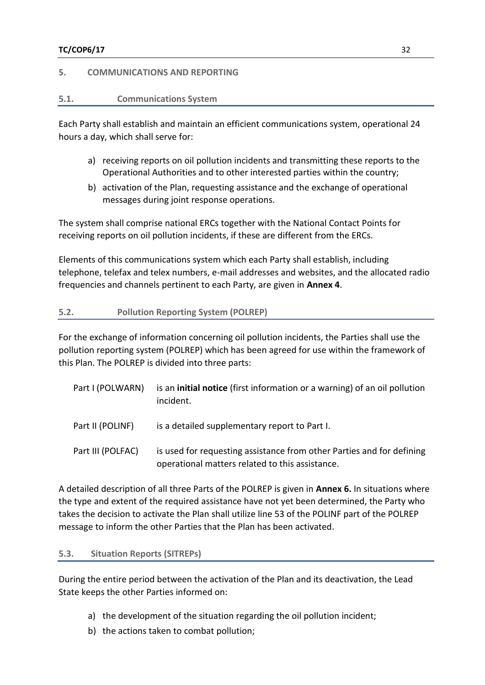## **5. COMMUNICATIONS AND REPORTING**

## **5.1. Communications System**

Each Party shall establish and maintain an efficient communications system, operational 24 hours a day, which shall serve for:

- a) receiving reports on oil pollution incidents and transmitting these reports to the Operational Authorities and to other interested parties within the country;
- b) activation of the Plan, requesting assistance and the exchange of operational messages during joint response operations.

The system shall comprise national ERCs together with the National Contact Points for receiving reports on oil pollution incidents, if these are different from the ERCs.

Elements of this communications system which each Party shall establish, including telephone, telefax and telex numbers, e-mail addresses and websites, and the allocated radio frequencies and channels pertinent to each Party, are given in **Annex 4**.

## **5.2. Pollution Reporting System (POLREP)**

For the exchange of information concerning oil pollution incidents, the Parties shall use the pollution reporting system (POLREP) which has been agreed for use within the framework of this Plan. The POLREP is divided into three parts:

| Part I (POLWARN)  | is an <b>initial notice</b> (first information or a warning) of an oil pollution<br>incident.                            |
|-------------------|--------------------------------------------------------------------------------------------------------------------------|
| Part II (POLINF)  | is a detailed supplementary report to Part I.                                                                            |
| Part III (POLFAC) | is used for requesting assistance from other Parties and for defining<br>operational matters related to this assistance. |

A detailed description of all three Parts of the POLREP is given in **Annex 6.** In situations where the type and extent of the required assistance have not yet been determined, the Party who takes the decision to activate the Plan shall utilize line 53 of the POLINF part of the POLREP message to inform the other Parties that the Plan has been activated.

## **5.3. Situation Reports (SITREPs)**

During the entire period between the activation of the Plan and its deactivation, the Lead State keeps the other Parties informed on:

- a) the development of the situation regarding the oil pollution incident;
- b) the actions taken to combat pollution;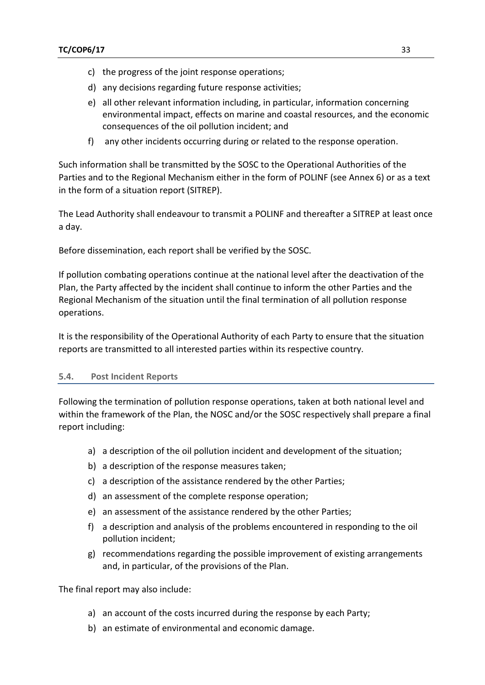- c) the progress of the joint response operations;
- d) any decisions regarding future response activities;
- e) all other relevant information including, in particular, information concerning environmental impact, effects on marine and coastal resources, and the economic consequences of the oil pollution incident; and
- f) any other incidents occurring during or related to the response operation.

Such information shall be transmitted by the SOSC to the Operational Authorities of the Parties and to the Regional Mechanism either in the form of POLINF (see Annex 6) or as a text in the form of a situation report (SITREP).

The Lead Authority shall endeavour to transmit a POLINF and thereafter a SITREP at least once a day.

Before dissemination, each report shall be verified by the SOSC.

If pollution combating operations continue at the national level after the deactivation of the Plan, the Party affected by the incident shall continue to inform the other Parties and the Regional Mechanism of the situation until the final termination of all pollution response operations.

It is the responsibility of the Operational Authority of each Party to ensure that the situation reports are transmitted to all interested parties within its respective country.

### **5.4. Post Incident Reports**

Following the termination of pollution response operations, taken at both national level and within the framework of the Plan, the NOSC and/or the SOSC respectively shall prepare a final report including:

- a) a description of the oil pollution incident and development of the situation;
- b) a description of the response measures taken;
- c) a description of the assistance rendered by the other Parties;
- d) an assessment of the complete response operation;
- e) an assessment of the assistance rendered by the other Parties;
- f) a description and analysis of the problems encountered in responding to the oil pollution incident;
- g) recommendations regarding the possible improvement of existing arrangements and, in particular, of the provisions of the Plan.

The final report may also include:

- a) an account of the costs incurred during the response by each Party;
- b) an estimate of environmental and economic damage.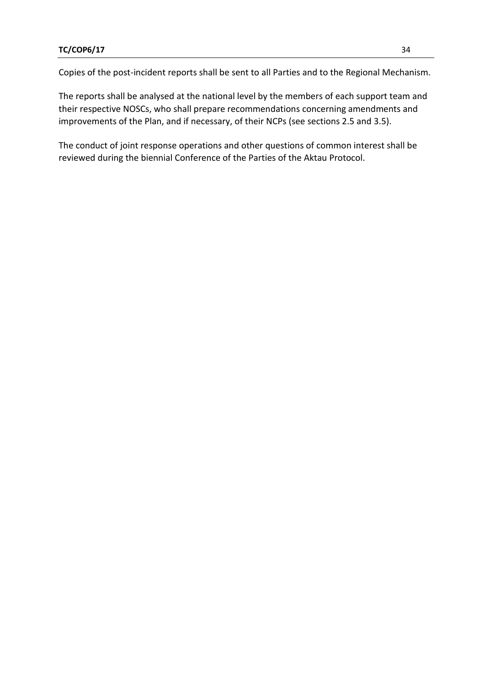Copies of the post-incident reports shall be sent to all Parties and to the Regional Mechanism.

The reports shall be analysed at the national level by the members of each support team and their respective NOSCs, who shall prepare recommendations concerning amendments and improvements of the Plan, and if necessary, of their NCPs (see sections 2.5 and 3.5).

The conduct of joint response operations and other questions of common interest shall be reviewed during the biennial Conference of the Parties of the Aktau Protocol.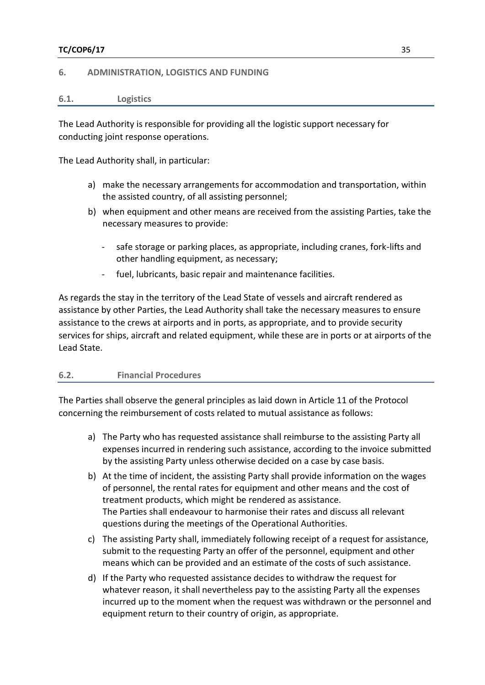## **6. ADMINISTRATION, LOGISTICS AND FUNDING**

## **6.1. Logistics**

The Lead Authority is responsible for providing all the logistic support necessary for conducting joint response operations.

The Lead Authority shall, in particular:

- a) make the necessary arrangements for accommodation and transportation, within the assisted country, of all assisting personnel;
- b) when equipment and other means are received from the assisting Parties, take the necessary measures to provide:
	- safe storage or parking places, as appropriate, including cranes, fork-lifts and other handling equipment, as necessary;
	- fuel, lubricants, basic repair and maintenance facilities.

As regards the stay in the territory of the Lead State of vessels and aircraft rendered as assistance by other Parties, the Lead Authority shall take the necessary measures to ensure assistance to the crews at airports and in ports, as appropriate, and to provide security services for ships, aircraft and related equipment, while these are in ports or at airports of the Lead State.

### **6.2. Financial Procedures**

The Parties shall observe the general principles as laid down in Article 11 of the Protocol concerning the reimbursement of costs related to mutual assistance as follows:

- a) The Party who has requested assistance shall reimburse to the assisting Party all expenses incurred in rendering such assistance, according to the invoice submitted by the assisting Party unless otherwise decided on a case by case basis.
- b) At the time of incident, the assisting Party shall provide information on the wages of personnel, the rental rates for equipment and other means and the cost of treatment products, which might be rendered as assistance. The Parties shall endeavour to harmonise their rates and discuss all relevant questions during the meetings of the Operational Authorities.
- c) The assisting Party shall, immediately following receipt of a request for assistance, submit to the requesting Party an offer of the personnel, equipment and other means which can be provided and an estimate of the costs of such assistance.
- d) If the Party who requested assistance decides to withdraw the request for whatever reason, it shall nevertheless pay to the assisting Party all the expenses incurred up to the moment when the request was withdrawn or the personnel and equipment return to their country of origin, as appropriate.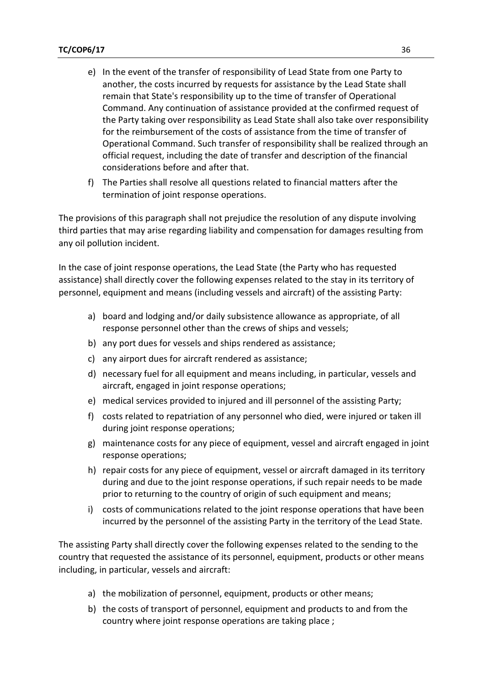- e) In the event of the transfer of responsibility of Lead State from one Party to another, the costs incurred by requests for assistance by the Lead State shall remain that State's responsibility up to the time of transfer of Operational Command. Any continuation of assistance provided at the confirmed request of the Party taking over responsibility as Lead State shall also take over responsibility for the reimbursement of the costs of assistance from the time of transfer of Operational Command. Such transfer of responsibility shall be realized through an official request, including the date of transfer and description of the financial considerations before and after that.
- f) The Parties shall resolve all questions related to financial matters after the termination of joint response operations.

The provisions of this paragraph shall not prejudice the resolution of any dispute involving third parties that may arise regarding liability and compensation for damages resulting from any oil pollution incident.

In the case of joint response operations, the Lead State (the Party who has requested assistance) shall directly cover the following expenses related to the stay in its territory of personnel, equipment and means (including vessels and aircraft) of the assisting Party:

- a) board and lodging and/or daily subsistence allowance as appropriate, of all response personnel other than the crews of ships and vessels;
- b) any port dues for vessels and ships rendered as assistance;
- c) any airport dues for aircraft rendered as assistance;
- d) necessary fuel for all equipment and means including, in particular, vessels and aircraft, engaged in joint response operations;
- e) medical services provided to injured and ill personnel of the assisting Party;
- f) costs related to repatriation of any personnel who died, were injured or taken ill during joint response operations;
- g) maintenance costs for any piece of equipment, vessel and aircraft engaged in joint response operations;
- h) repair costs for any piece of equipment, vessel or aircraft damaged in its territory during and due to the joint response operations, if such repair needs to be made prior to returning to the country of origin of such equipment and means;
- i) costs of communications related to the joint response operations that have been incurred by the personnel of the assisting Party in the territory of the Lead State.

The assisting Party shall directly cover the following expenses related to the sending to the country that requested the assistance of its personnel, equipment, products or other means including, in particular, vessels and aircraft:

- a) the mobilization of personnel, equipment, products or other means;
- b) the costs of transport of personnel, equipment and products to and from the country where joint response operations are taking place ;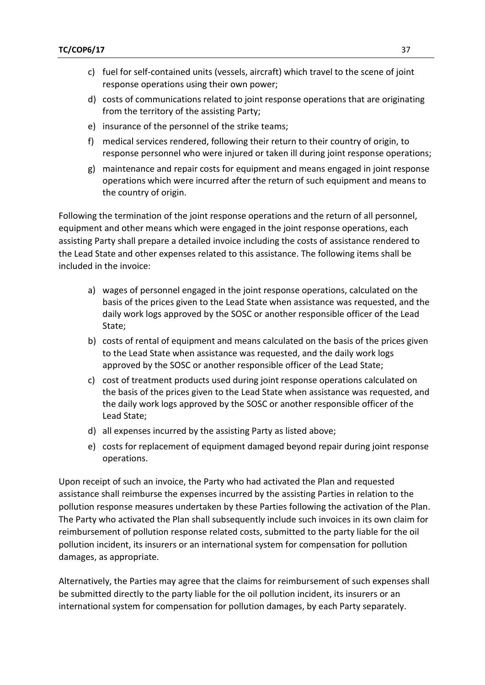- c) fuel for self-contained units (vessels, aircraft) which travel to the scene of joint response operations using their own power;
- d) costs of communications related to joint response operations that are originating from the territory of the assisting Party;
- e) insurance of the personnel of the strike teams;
- f) medical services rendered, following their return to their country of origin, to response personnel who were injured or taken ill during joint response operations;
- g) maintenance and repair costs for equipment and means engaged in joint response operations which were incurred after the return of such equipment and means to the country of origin.

Following the termination of the joint response operations and the return of all personnel, equipment and other means which were engaged in the joint response operations, each assisting Party shall prepare a detailed invoice including the costs of assistance rendered to the Lead State and other expenses related to this assistance. The following items shall be included in the invoice:

- a) wages of personnel engaged in the joint response operations, calculated on the basis of the prices given to the Lead State when assistance was requested, and the daily work logs approved by the SOSC or another responsible officer of the Lead State;
- b) costs of rental of equipment and means calculated on the basis of the prices given to the Lead State when assistance was requested, and the daily work logs approved by the SOSC or another responsible officer of the Lead State;
- c) cost of treatment products used during joint response operations calculated on the basis of the prices given to the Lead State when assistance was requested, and the daily work logs approved by the SOSC or another responsible officer of the Lead State;
- d) all expenses incurred by the assisting Party as listed above;
- e) costs for replacement of equipment damaged beyond repair during joint response operations.

Upon receipt of such an invoice, the Party who had activated the Plan and requested assistance shall reimburse the expenses incurred by the assisting Parties in relation to the pollution response measures undertaken by these Parties following the activation of the Plan. The Party who activated the Plan shall subsequently include such invoices in its own claim for reimbursement of pollution response related costs, submitted to the party liable for the oil pollution incident, its insurers or an international system for compensation for pollution damages, as appropriate.

Alternatively, the Parties may agree that the claims for reimbursement of such expenses shall be submitted directly to the party liable for the oil pollution incident, its insurers or an international system for compensation for pollution damages, by each Party separately.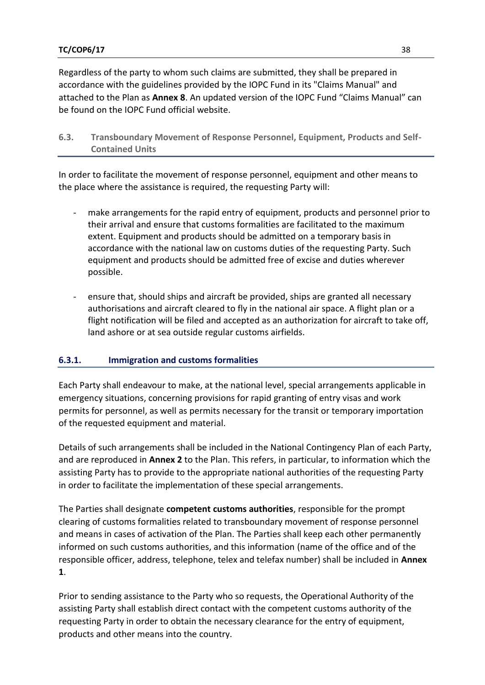Regardless of the party to whom such claims are submitted, they shall be prepared in accordance with the guidelines provided by the IOPC Fund in its "Claims Manual" and attached to the Plan as **Annex 8**. An updated version of the IOPC Fund "Claims Manual" can be found on the IOPC Fund official website.

**6.3. Transboundary Movement of Response Personnel, Equipment, Products and Self-Contained Units**

In order to facilitate the movement of response personnel, equipment and other means to the place where the assistance is required, the requesting Party will:

- make arrangements for the rapid entry of equipment, products and personnel prior to their arrival and ensure that customs formalities are facilitated to the maximum extent. Equipment and products should be admitted on a temporary basis in accordance with the national law on customs duties of the requesting Party. Such equipment and products should be admitted free of excise and duties wherever possible.
- ensure that, should ships and aircraft be provided, ships are granted all necessary authorisations and aircraft cleared to fly in the national air space. A flight plan or a flight notification will be filed and accepted as an authorization for aircraft to take off, land ashore or at sea outside regular customs airfields.

## **6.3.1. Immigration and customs formalities**

Each Party shall endeavour to make, at the national level, special arrangements applicable in emergency situations, concerning provisions for rapid granting of entry visas and work permits for personnel, as well as permits necessary for the transit or temporary importation of the requested equipment and material.

Details of such arrangements shall be included in the National Contingency Plan of each Party, and are reproduced in **Annex 2** to the Plan. This refers, in particular, to information which the assisting Party has to provide to the appropriate national authorities of the requesting Party in order to facilitate the implementation of these special arrangements.

The Parties shall designate **competent customs authorities**, responsible for the prompt clearing of customs formalities related to transboundary movement of response personnel and means in cases of activation of the Plan. The Parties shall keep each other permanently informed on such customs authorities, and this information (name of the office and of the responsible officer, address, telephone, telex and telefax number) shall be included in **Annex 1**.

Prior to sending assistance to the Party who so requests, the Operational Authority of the assisting Party shall establish direct contact with the competent customs authority of the requesting Party in order to obtain the necessary clearance for the entry of equipment, products and other means into the country.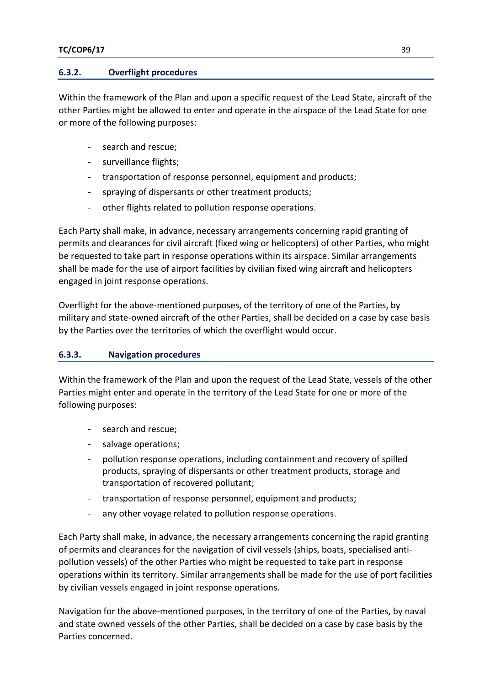## **6.3.2. Overflight procedures**

Within the framework of the Plan and upon a specific request of the Lead State, aircraft of the other Parties might be allowed to enter and operate in the airspace of the Lead State for one or more of the following purposes:

- search and rescue;
- surveillance flights;
- transportation of response personnel, equipment and products;
- spraying of dispersants or other treatment products;
- other flights related to pollution response operations.

Each Party shall make, in advance, necessary arrangements concerning rapid granting of permits and clearances for civil aircraft (fixed wing or helicopters) of other Parties, who might be requested to take part in response operations within its airspace. Similar arrangements shall be made for the use of airport facilities by civilian fixed wing aircraft and helicopters engaged in joint response operations.

Overflight for the above-mentioned purposes, of the territory of one of the Parties, by military and state-owned aircraft of the other Parties, shall be decided on a case by case basis by the Parties over the territories of which the overflight would occur.

## **6.3.3. Navigation procedures**

Within the framework of the Plan and upon the request of the Lead State, vessels of the other Parties might enter and operate in the territory of the Lead State for one or more of the following purposes:

- search and rescue;
- salvage operations;
- pollution response operations, including containment and recovery of spilled products, spraying of dispersants or other treatment products, storage and transportation of recovered pollutant;
- transportation of response personnel, equipment and products;
- any other voyage related to pollution response operations.

Each Party shall make, in advance, the necessary arrangements concerning the rapid granting of permits and clearances for the navigation of civil vessels (ships, boats, specialised antipollution vessels) of the other Parties who might be requested to take part in response operations within its territory. Similar arrangements shall be made for the use of port facilities by civilian vessels engaged in joint response operations.

Navigation for the above-mentioned purposes, in the territory of one of the Parties, by naval and state owned vessels of the other Parties, shall be decided on a case by case basis by the Parties concerned.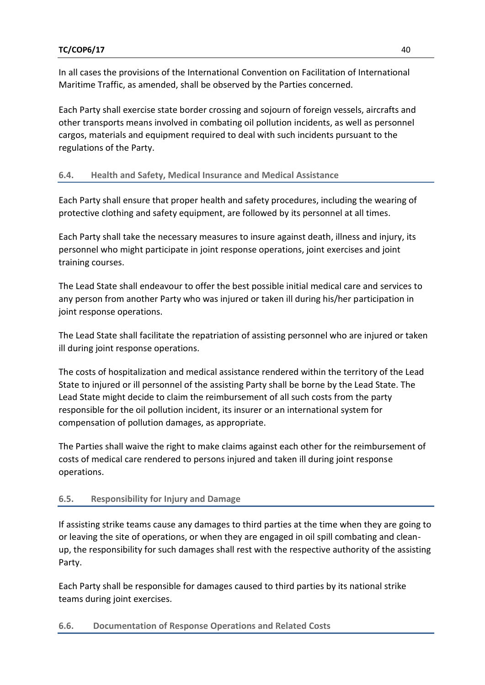In all cases the provisions of the International Convention on Facilitation of International Maritime Traffic, as amended, shall be observed by the Parties concerned.

Each Party shall exercise state border crossing and sojourn of foreign vessels, aircrafts and other transports means involved in combating oil pollution incidents, as well as personnel cargos, materials and equipment required to deal with such incidents pursuant to the regulations of the Party.

## **6.4. Health and Safety, Medical Insurance and Medical Assistance**

Each Party shall ensure that proper health and safety procedures, including the wearing of protective clothing and safety equipment, are followed by its personnel at all times.

Each Party shall take the necessary measures to insure against death, illness and injury, its personnel who might participate in joint response operations, joint exercises and joint training courses.

The Lead State shall endeavour to offer the best possible initial medical care and services to any person from another Party who was injured or taken ill during his/her participation in joint response operations.

The Lead State shall facilitate the repatriation of assisting personnel who are injured or taken ill during joint response operations.

The costs of hospitalization and medical assistance rendered within the territory of the Lead State to injured or ill personnel of the assisting Party shall be borne by the Lead State. The Lead State might decide to claim the reimbursement of all such costs from the party responsible for the oil pollution incident, its insurer or an international system for compensation of pollution damages, as appropriate.

The Parties shall waive the right to make claims against each other for the reimbursement of costs of medical care rendered to persons injured and taken ill during joint response operations.

## **6.5. Responsibility for Injury and Damage**

If assisting strike teams cause any damages to third parties at the time when they are going to or leaving the site of operations, or when they are engaged in oil spill combating and cleanup, the responsibility for such damages shall rest with the respective authority of the assisting Party.

Each Party shall be responsible for damages caused to third parties by its national strike teams during joint exercises.

## **6.6. Documentation of Response Operations and Related Costs**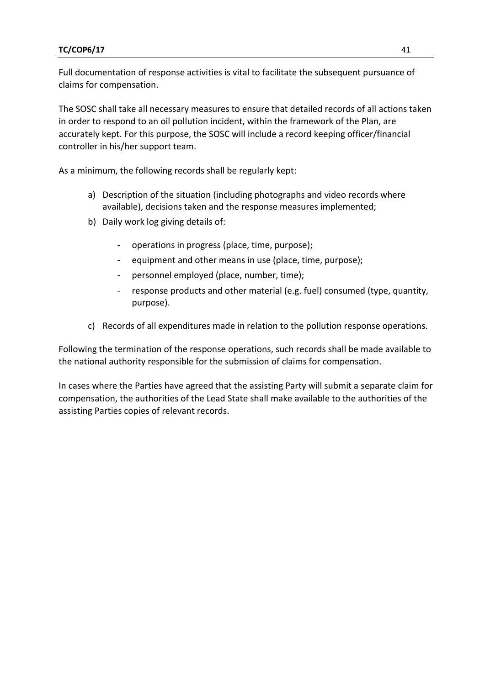Full documentation of response activities is vital to facilitate the subsequent pursuance of claims for compensation.

The SOSC shall take all necessary measures to ensure that detailed records of all actions taken in order to respond to an oil pollution incident, within the framework of the Plan, are accurately kept. For this purpose, the SOSC will include a record keeping officer/financial controller in his/her support team.

As a minimum, the following records shall be regularly kept:

- a) Description of the situation (including photographs and video records where available), decisions taken and the response measures implemented;
- b) Daily work log giving details of:
	- operations in progress (place, time, purpose);
	- equipment and other means in use (place, time, purpose);
	- personnel employed (place, number, time);
	- response products and other material (e.g. fuel) consumed (type, quantity, purpose).
- c) Records of all expenditures made in relation to the pollution response operations.

Following the termination of the response operations, such records shall be made available to the national authority responsible for the submission of claims for compensation.

In cases where the Parties have agreed that the assisting Party will submit a separate claim for compensation, the authorities of the Lead State shall make available to the authorities of the assisting Parties copies of relevant records.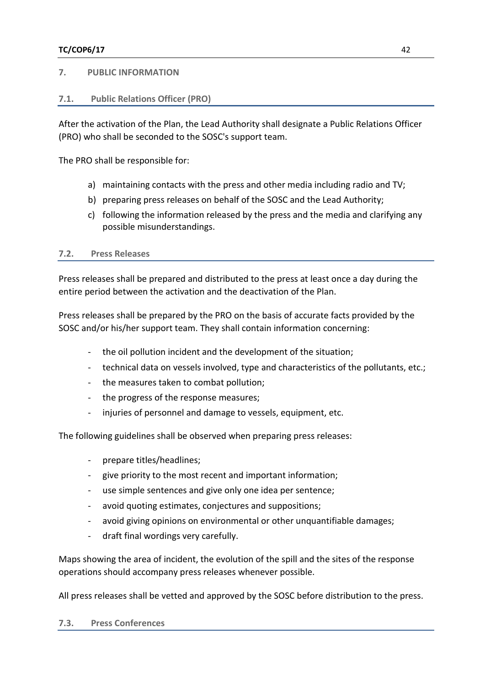## **7. PUBLIC INFORMATION**

## **7.1. Public Relations Officer (PRO)**

After the activation of the Plan, the Lead Authority shall designate a Public Relations Officer (PRO) who shall be seconded to the SOSC's support team.

The PRO shall be responsible for:

- a) maintaining contacts with the press and other media including radio and TV;
- b) preparing press releases on behalf of the SOSC and the Lead Authority;
- c) following the information released by the press and the media and clarifying any possible misunderstandings.

### **7.2. Press Releases**

Press releases shall be prepared and distributed to the press at least once a day during the entire period between the activation and the deactivation of the Plan.

Press releases shall be prepared by the PRO on the basis of accurate facts provided by the SOSC and/or his/her support team. They shall contain information concerning:

- the oil pollution incident and the development of the situation;
- technical data on vessels involved, type and characteristics of the pollutants, etc.;
- the measures taken to combat pollution;
- the progress of the response measures;
- injuries of personnel and damage to vessels, equipment, etc.

The following guidelines shall be observed when preparing press releases:

- prepare titles/headlines;
- give priority to the most recent and important information;
- use simple sentences and give only one idea per sentence;
- avoid quoting estimates, conjectures and suppositions;
- avoid giving opinions on environmental or other unquantifiable damages;
- draft final wordings very carefully.

Maps showing the area of incident, the evolution of the spill and the sites of the response operations should accompany press releases whenever possible.

All press releases shall be vetted and approved by the SOSC before distribution to the press.

### **7.3. Press Conferences**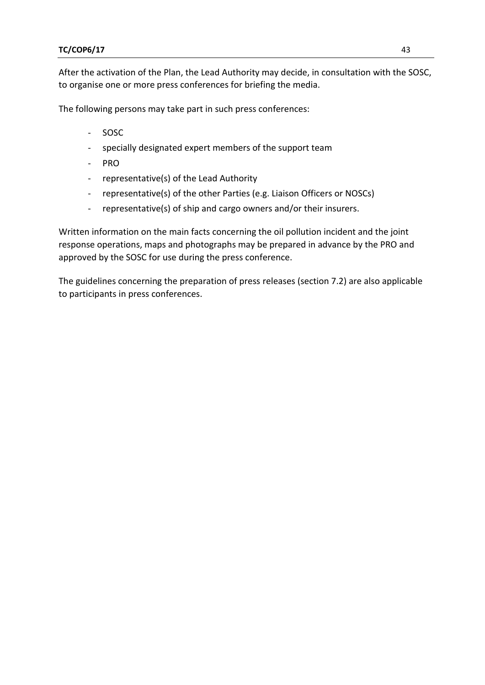After the activation of the Plan, the Lead Authority may decide, in consultation with the SOSC, to organise one or more press conferences for briefing the media.

The following persons may take part in such press conferences:

- SOSC
- specially designated expert members of the support team
- PRO
- representative(s) of the Lead Authority
- representative(s) of the other Parties (e.g. Liaison Officers or NOSCs)
- representative(s) of ship and cargo owners and/or their insurers.

Written information on the main facts concerning the oil pollution incident and the joint response operations, maps and photographs may be prepared in advance by the PRO and approved by the SOSC for use during the press conference.

The guidelines concerning the preparation of press releases (section 7.2) are also applicable to participants in press conferences.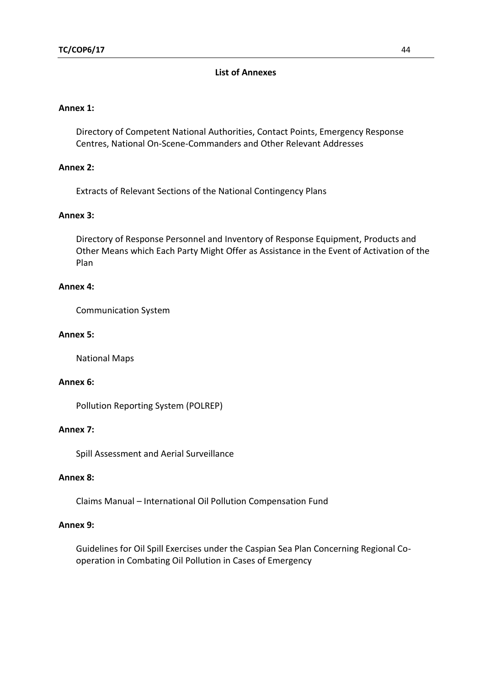### **List of Annexes**

### **Annex 1:**

Directory of Competent National Authorities, Contact Points, Emergency Response Centres, National On-Scene-Commanders and Other Relevant Addresses

### **Annex 2:**

Extracts of Relevant Sections of the National Contingency Plans

### **Annex 3:**

Directory of Response Personnel and Inventory of Response Equipment, Products and Other Means which Each Party Might Offer as Assistance in the Event of Activation of the Plan

#### **Annex 4:**

Communication System

### **Annex 5:**

National Maps

#### **Annex 6:**

Pollution Reporting System (POLREP)

### **Annex 7:**

Spill Assessment and Aerial Surveillance

### **Annex 8:**

Claims Manual – International Oil Pollution Compensation Fund

#### **Annex 9:**

Guidelines for Oil Spill Exercises under the Caspian Sea Plan Concerning Regional Cooperation in Combating Oil Pollution in Cases of Emergency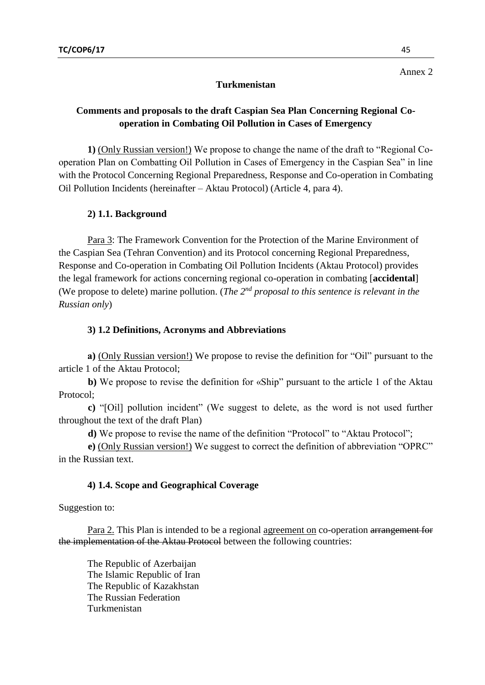## **Turkmenistan**

## **Comments and proposals to the draft Caspian Sea Plan Concerning Regional Cooperation in Combating Oil Pollution in Cases of Emergency**

**1)** (Only Russian version!) We propose to change the name of the draft to "Regional Cooperation Plan on Combatting Oil Pollution in Cases of Emergency in the Caspian Sea" in line with the Protocol Concerning Regional Preparedness, Response and Co-operation in Combating Oil Pollution Incidents (hereinafter – Aktau Protocol) (Article 4, para 4).

## **2) 1.1. Background**

Para 3: The Framework Convention for the Protection of the Marine Environment of the Caspian Sea (Tehran Convention) and its Protocol concerning Regional Preparedness, Response and Co-operation in Combating Oil Pollution Incidents (Aktau Protocol) provides the legal framework for actions concerning regional co-operation in combating [**accidental**] (We propose to delete) marine pollution. (*The 2nd proposal to this sentence is relevant in the Russian only*)

## **3) 1.2 Definitions, Acronyms and Abbreviations**

**а)** (Only Russian version!) We propose to revise the definition for "Oil" pursuant to the article 1 of the Aktau Protocol;

**b)** We propose to revise the definition for «Ship" pursuant to the article 1 of the Aktau Protocol;

**c)** "[Oil] pollution incident" (We suggest to delete, as the word is not used further throughout the text of the draft Plan)

**d)** We propose to revise the name of the definition "Protocol" to "Aktau Protocol";

**e)** (Only Russian version!) We suggest to correct the definition of abbreviation "OPRC" in the Russian text.

## **4) 1.4. Scope and Geographical Coverage**

Suggestion to:

Para 2. This Plan is intended to be a regional agreement on co-operation arrangement for the implementation of the Aktau Protocol between the following countries:

The Republic of Azerbaijan The Islamic Republic of Iran The Republic of Kazakhstan The Russian Federation Turkmenistan

Annex 2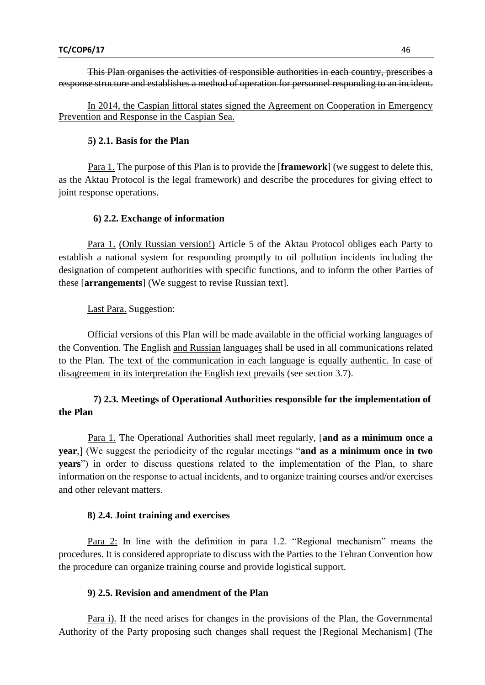This Plan organises the activities of responsible authorities in each country, prescribes a response structure and establishes a method of operation for personnel responding to an incident.

In 2014, the Caspian littoral states signed the Agreement on Cooperation in Emergency Prevention and Response in the Caspian Sea.

#### **5) 2.1. Basis for the Plan**

Para 1. The purpose of this Plan is to provide the [**framework**] (we suggest to delete this, as the Aktau Protocol is the legal framework) and describe the procedures for giving effect to joint response operations.

#### **6) 2.2. Exchange of information**

Para 1. (Only Russian version!) Article 5 of the Aktau Protocol obliges each Party to establish a national system for responding promptly to oil pollution incidents including the designation of competent authorities with specific functions, and to inform the other Parties of these [**arrangements**] (We suggest to revise Russian text].

Last Para. Suggestion:

Official versions of this Plan will be made available in the official working languages of the Convention. The English and Russian languages shall be used in all communications related to the Plan. The text of the communication in each language is equally authentic. In case of disagreement in its interpretation the English text prevails (see section 3.7).

## **7) 2.3. Meetings of Operational Authorities responsible for the implementation of the Plan**

Para 1. The Operational Authorities shall meet regularly, [**and as a minimum once a year**,] (We suggest the periodicity of the regular meetings "**and as a minimum once in two years**") in order to discuss questions related to the implementation of the Plan, to share information on the response to actual incidents, and to organize training courses and/or exercises and other relevant matters.

#### **8) 2.4. Joint training and exercises**

Para 2: In line with the definition in para 1.2. "Regional mechanism" means the procedures. It is considered appropriate to discuss with the Parties to the Tehran Convention how the procedure can organize training course and provide logistical support.

### **9) 2.5. Revision and amendment of the Plan**

Para i). If the need arises for changes in the provisions of the Plan, the Governmental Authority of the Party proposing such changes shall request the [Regional Mechanism] (The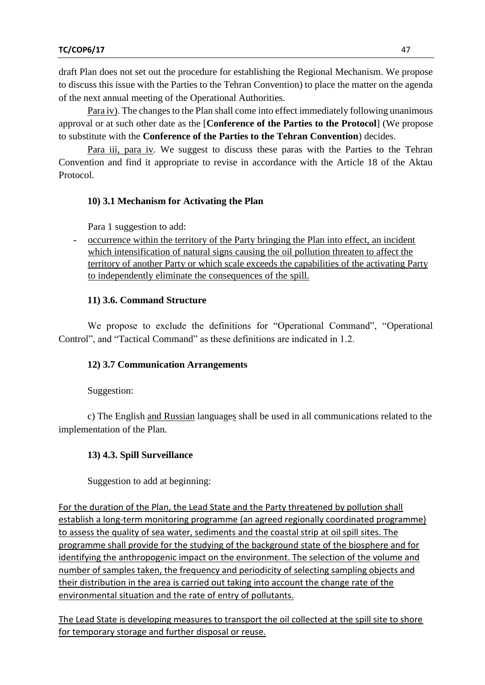draft Plan does not set out the procedure for establishing the Regional Mechanism. We propose to discuss this issue with the Parties to the Tehran Convention) to place the matter on the agenda of the next annual meeting of the Operational Authorities.

Para iv). The changes to the Plan shall come into effect immediately following unanimous approval or at such other date as the [**Conference of the Parties to the Protocol**] (We propose to substitute with the **Conference of the Parties to the Tehran Convention**) decides.

Para iii, para iv*.* We suggest to discuss these paras with the Parties to the Tehran Convention and find it appropriate to revise in accordance with the Article 18 of the Aktau Protocol.

### **10) 3.1 Mechanism for Activating the Plan**

Para 1 suggestion to add:

- occurrence within the territory of the Party bringing the Plan into effect, an incident which intensification of natural signs causing the oil pollution threaten to affect the territory of another Party or which scale exceeds the capabilities of the activating Party to independently eliminate the consequences of the spill.

### **11) 3.6. Command Structure**

We propose to exclude the definitions for "Operational Command", "Operational Control", and "Tactical Command" as these definitions are indicated in 1.2.

### **12) 3.7 Communication Arrangements**

Suggestion:

c) The English and Russian languages shall be used in all communications related to the implementation of the Plan.

### **13) 4.3. Spill Surveillance**

Suggestion to add at beginning:

For the duration of the Plan, the Lead State and the Party threatened by pollution shall establish a long-term monitoring programme (an agreed regionally coordinated programme) to assess the quality of sea water, sediments and the coastal strip at oil spill sites. The programme shall provide for the studying of the background state of the biosphere and for identifying the anthropogenic impact on the environment. The selection of the volume and number of samples taken, the frequency and periodicity of selecting sampling objects and their distribution in the area is carried out taking into account the change rate of the environmental situation and the rate of entry of pollutants.

The Lead State is developing measures to transport the oil collected at the spill site to shore for temporary storage and further disposal or reuse.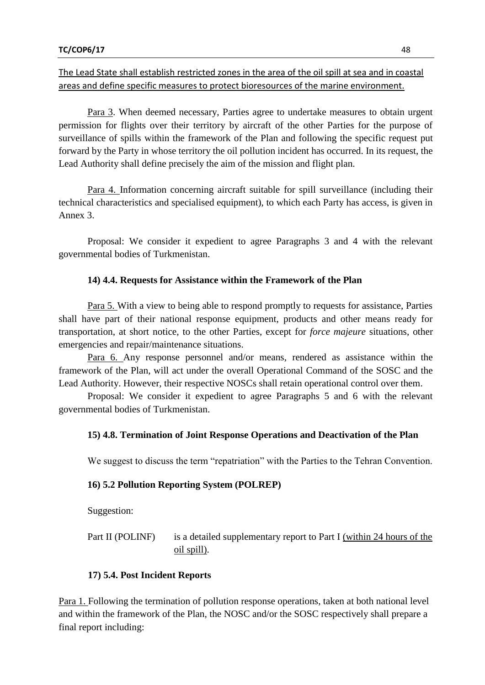## The Lead State shall establish restricted zones in the area of the oil spill at sea and in coastal areas and define specific measures to protect bioresources of the marine environment.

Para 3. When deemed necessary, Parties agree to undertake measures to obtain urgent permission for flights over their territory by aircraft of the other Parties for the purpose of surveillance of spills within the framework of the Plan and following the specific request put forward by the Party in whose territory the oil pollution incident has occurred. In its request, the Lead Authority shall define precisely the aim of the mission and flight plan.

Para 4. Information concerning aircraft suitable for spill surveillance (including their technical characteristics and specialised equipment), to which each Party has access, is given in Annex 3.

Proposal: We consider it expedient to agree Paragraphs 3 and 4 with the relevant governmental bodies of Turkmenistan.

## **14) 4.4. Requests for Assistance within the Framework of the Plan**

Para 5. With a view to being able to respond promptly to requests for assistance, Parties shall have part of their national response equipment, products and other means ready for transportation, at short notice, to the other Parties, except for *force majeure* situations, other emergencies and repair/maintenance situations.

Para 6. Any response personnel and/or means, rendered as assistance within the framework of the Plan, will act under the overall Operational Command of the SOSC and the Lead Authority. However, their respective NOSCs shall retain operational control over them.

Proposal: We consider it expedient to agree Paragraphs 5 and 6 with the relevant governmental bodies of Turkmenistan.

## **15) 4.8. Termination of Joint Response Operations and Deactivation of the Plan**

We suggest to discuss the term "repatriation" with the Parties to the Tehran Convention.

### **16) 5.2 Pollution Reporting System (POLREP)**

Suggestion:

Part II (POLINF) is a detailed supplementary report to Part I (within 24 hours of the oil spill).

### **17) 5.4. Post Incident Reports**

Para 1. Following the termination of pollution response operations, taken at both national level and within the framework of the Plan, the NOSC and/or the SOSC respectively shall prepare a final report including: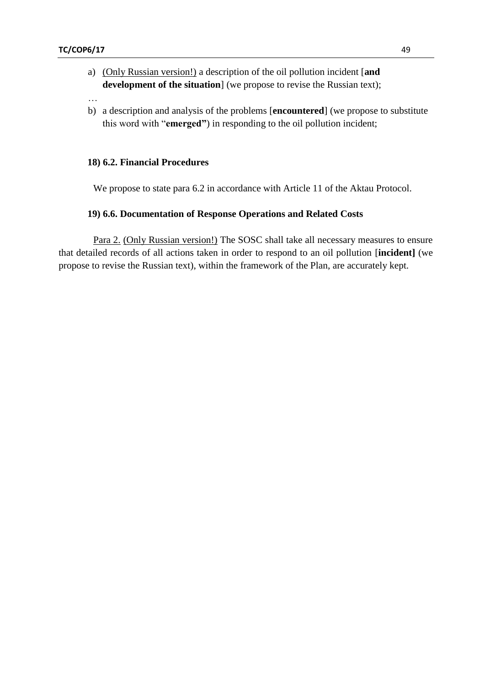- a) (Only Russian version!) a description of the oil pollution incident [**and development of the situation**] (we propose to revise the Russian text);
- …
- b) a description and analysis of the problems [**encountered**] (we propose to substitute this word with "**emerged"**) in responding to the oil pollution incident;

#### **18) 6.2. Financial Procedures**

We propose to state para 6.2 in accordance with Article 11 of the Aktau Protocol.

### **19) 6.6. Documentation of Response Operations and Related Costs**

Para 2. (Only Russian version!) The SOSC shall take all necessary measures to ensure that detailed records of all actions taken in order to respond to an oil pollution [**incident]** (we propose to revise the Russian text), within the framework of the Plan, are accurately kept.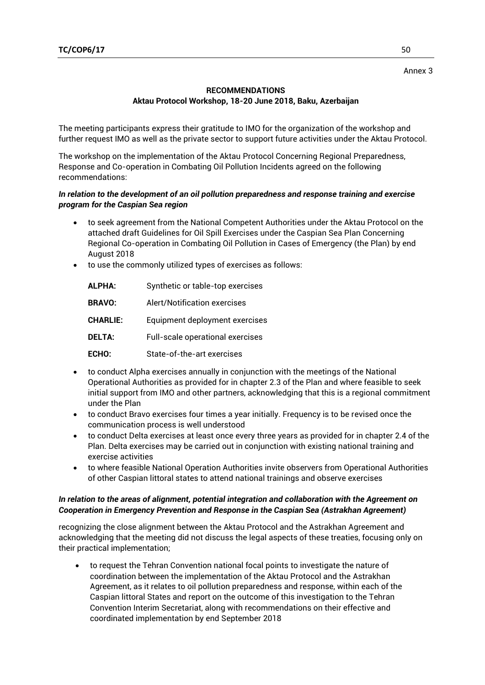## **RECOMMENDATIONS Aktau Protocol Workshop, 18-20 June 2018, Baku, Azerbaijan**

The meeting participants express their gratitude to IMO for the organization of the workshop and further request IMO as well as the private sector to support future activities under the Aktau Protocol.

The workshop on the implementation of the Aktau Protocol Concerning Regional Preparedness, Response and Co-operation in Combating Oil Pollution Incidents agreed on the following recommendations:

### *In relation to the development of an oil pollution preparedness and response training and exercise program for the Caspian Sea region*

- to seek agreement from the National Competent Authorities under the Aktau Protocol on the attached draft Guidelines for Oil Spill Exercises under the Caspian Sea Plan Concerning Regional Co-operation in Combating Oil Pollution in Cases of Emergency (the Plan) by end August 2018
- to use the commonly utilized types of exercises as follows:

| <b>ALPHA:</b>   | Synthetic or table-top exercises        |  |
|-----------------|-----------------------------------------|--|
| <b>BRAVO:</b>   | Alert/Notification exercises            |  |
| <b>CHARLIE:</b> | Equipment deployment exercises          |  |
| <b>DELTA:</b>   | <b>Full-scale operational exercises</b> |  |
| ECHO:           | State-of-the-art exercises              |  |

- to conduct Alpha exercises annually in conjunction with the meetings of the National Operational Authorities as provided for in chapter 2.3 of the Plan and where feasible to seek initial support from IMO and other partners, acknowledging that this is a regional commitment under the Plan
- to conduct Bravo exercises four times a year initially. Frequency is to be revised once the communication process is well understood
- to conduct Delta exercises at least once every three years as provided for in chapter 2.4 of the Plan. Delta exercises may be carried out in conjunction with existing national training and exercise activities
- to where feasible National Operation Authorities invite observers from Operational Authorities of other Caspian littoral states to attend national trainings and observe exercises

### *In relation to the areas of alignment, potential integration and collaboration with the Agreement on Cooperation in Emergency Prevention and Response in the Caspian Sea (Astrakhan Agreement)*

recognizing the close alignment between the Aktau Protocol and the Astrakhan Agreement and acknowledging that the meeting did not discuss the legal aspects of these treaties, focusing only on their practical implementation;

• to request the Tehran Convention national focal points to investigate the nature of coordination between the implementation of the Aktau Protocol and the Astrakhan Agreement, as it relates to oil pollution preparedness and response, within each of the Caspian littoral States and report on the outcome of this investigation to the Tehran Convention Interim Secretariat, along with recommendations on their effective and coordinated implementation by end September 2018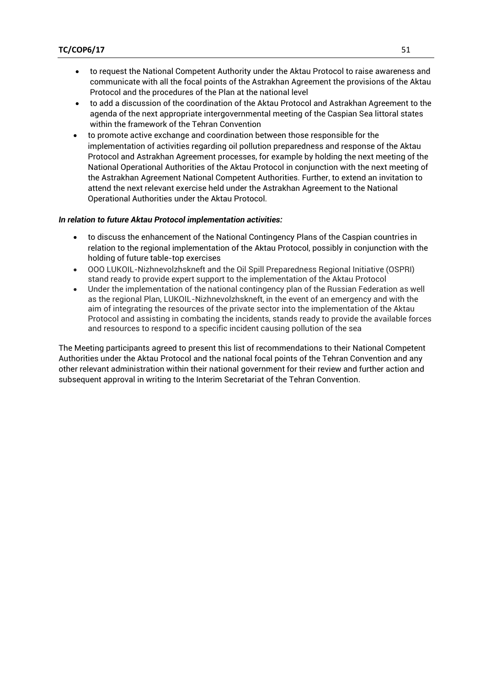- to request the National Competent Authority under the Aktau Protocol to raise awareness and communicate with all the focal points of the Astrakhan Agreement the provisions of the Aktau Protocol and the procedures of the Plan at the national level
- to add a discussion of the coordination of the Aktau Protocol and Astrakhan Agreement to the agenda of the next appropriate intergovernmental meeting of the Caspian Sea littoral states within the framework of the Tehran Convention
- to promote active exchange and coordination between those responsible for the implementation of activities regarding oil pollution preparedness and response of the Aktau Protocol and Astrakhan Agreement processes, for example by holding the next meeting of the National Operational Authorities of the Aktau Protocol in conjunction with the next meeting of the Astrakhan Agreement National Competent Authorities. Further, to extend an invitation to attend the next relevant exercise held under the Astrakhan Agreement to the National Operational Authorities under the Aktau Protocol.

### *In relation to future Aktau Protocol implementation activities:*

- to discuss the enhancement of the National Contingency Plans of the Caspian countries in relation to the regional implementation of the Aktau Protocol, possibly in conjunction with the holding of future table-top exercises
- OOO LUKOIL-Nizhnevolzhskneft and the Oil Spill Preparedness Regional Initiative (OSPRI) stand ready to provide expert support to the implementation of the Aktau Protocol
- Under the implementation of the national contingency plan of the Russian Federation as well as the regional Plan, LUKOIL-Nizhnevolzhskneft, in the event of an emergency and with the aim of integrating the resources of the private sector into the implementation of the Aktau Protocol and assisting in combating the incidents, stands ready to provide the available forces and resources to respond to a specific incident causing pollution of the sea

The Meeting participants agreed to present this list of recommendations to their National Competent Authorities under the Aktau Protocol and the national focal points of the Tehran Convention and any other relevant administration within their national government for their review and further action and subsequent approval in writing to the Interim Secretariat of the Tehran Convention.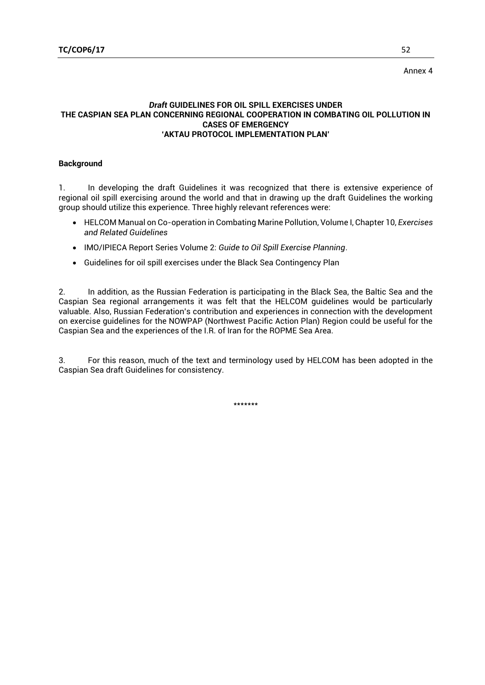#### Annex 4

#### *Draft* **GUIDELINES FOR OIL SPILL EXERCISES UNDER THE CASPIAN SEA PLAN CONCERNING REGIONAL COOPERATION IN COMBATING OIL POLLUTION IN CASES OF EMERGENCY 'AKTAU PROTOCOL IMPLEMENTATION PLAN'**

#### **Background**

1. In developing the draft Guidelines it was recognized that there is extensive experience of regional oil spill exercising around the world and that in drawing up the draft Guidelines the working group should utilize this experience. Three highly relevant references were:

- HELCOM Manual on Co-operation in Combating Marine Pollution, Volume I, Chapter 10, *Exercises and Related Guidelines*
- IMO/IPIECA Report Series Volume 2: *Guide to Oil Spill Exercise Planning*.
- Guidelines for oil spill exercises under the Black Sea Contingency Plan

2. In addition, as the Russian Federation is participating in the Black Sea, the Baltic Sea and the Caspian Sea regional arrangements it was felt that the HELCOM guidelines would be particularly valuable. Also, Russian Federation's contribution and experiences in connection with the development on exercise guidelines for the NOWPAP (Northwest Pacific Action Plan) Region could be useful for the Caspian Sea and the experiences of the I.R. of Iran for the ROPME Sea Area.

3. For this reason, much of the text and terminology used by HELCOM has been adopted in the Caspian Sea draft Guidelines for consistency.

\*\*\*\*\*\*\*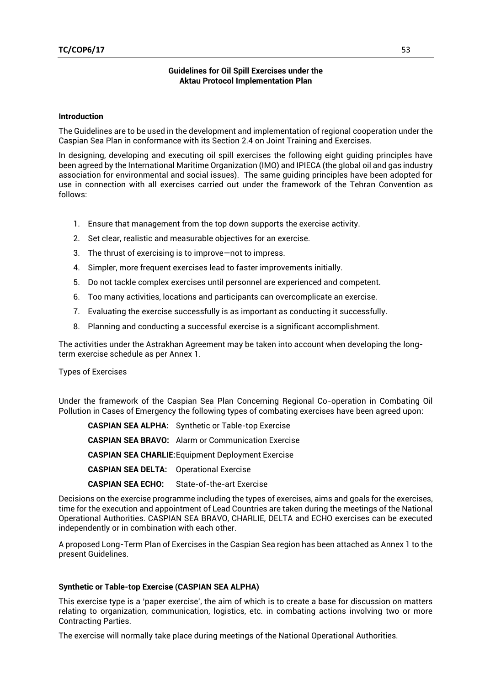#### **Guidelines for Oil Spill Exercises under the Aktau Protocol Implementation Plan**

#### **Introduction**

The Guidelines are to be used in the development and implementation of regional cooperation under the Caspian Sea Plan in conformance with its Section 2.4 on Joint Training and Exercises.

In designing, developing and executing oil spill exercises the following eight guiding principles have been agreed by the International Maritime Organization (IMO) and IPIECA (the global oil and gas industry association for environmental and social issues). The same guiding principles have been adopted for use in connection with all exercises carried out under the framework of the Tehran Convention as follows:

- 1. Ensure that management from the top down supports the exercise activity.
- 2. Set clear, realistic and measurable objectives for an exercise.
- 3. The thrust of exercising is to improve—not to impress.
- 4. Simpler, more frequent exercises lead to faster improvements initially.
- 5. Do not tackle complex exercises until personnel are experienced and competent.
- 6. Too many activities, locations and participants can overcomplicate an exercise.
- 7. Evaluating the exercise successfully is as important as conducting it successfully.
- 8. Planning and conducting a successful exercise is a significant accomplishment.

The activities under the Astrakhan Agreement may be taken into account when developing the longterm exercise schedule as per Annex 1.

Types of Exercises

Under the framework of the Caspian Sea Plan Concerning Regional Co-operation in Combating Oil Pollution in Cases of Emergency the following types of combating exercises have been agreed upon:

**CASPIAN SEA ALPHA:** Synthetic or Table-top Exercise **CASPIAN SEA BRAVO:** Alarm or Communication Exercise **CASPIAN SEA CHARLIE:**Equipment Deployment Exercise **CASPIAN SEA DELTA:** Operational Exercise **CASPIAN SEA ECHO:** State-of-the-art Exercise

Decisions on the exercise programme including the types of exercises, aims and goals for the exercises, time for the execution and appointment of Lead Countries are taken during the meetings of the National Operational Authorities. CASPIAN SEA BRAVO, CHARLIE, DELTA and ECHO exercises can be executed independently or in combination with each other.

A proposed Long-Term Plan of Exercises in the Caspian Sea region has been attached as Annex 1 to the present Guidelines.

#### **Synthetic or Table-top Exercise (CASPIAN SEA ALPHA)**

This exercise type is a 'paper exercise', the aim of which is to create a base for discussion on matters relating to organization, communication, logistics, etc. in combating actions involving two or more Contracting Parties.

The exercise will normally take place during meetings of the National Operational Authorities.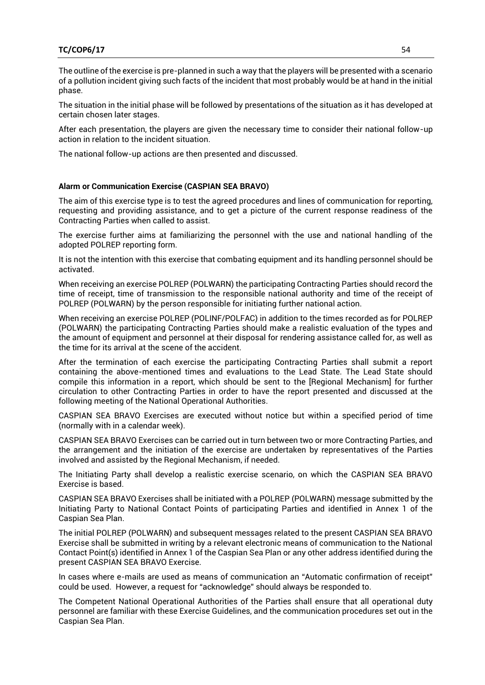The outline of the exercise is pre-planned in such a way that the players will be presented with a scenario of a pollution incident giving such facts of the incident that most probably would be at hand in the initial phase.

The situation in the initial phase will be followed by presentations of the situation as it has developed at certain chosen later stages.

After each presentation, the players are given the necessary time to consider their national follow-up action in relation to the incident situation.

The national follow-up actions are then presented and discussed.

#### **Alarm or Communication Exercise (CASPIAN SEA BRAVO)**

The aim of this exercise type is to test the agreed procedures and lines of communication for reporting, requesting and providing assistance, and to get a picture of the current response readiness of the Contracting Parties when called to assist.

The exercise further aims at familiarizing the personnel with the use and national handling of the adopted POLREP reporting form.

It is not the intention with this exercise that combating equipment and its handling personnel should be activated.

When receiving an exercise POLREP (POLWARN) the participating Contracting Parties should record the time of receipt, time of transmission to the responsible national authority and time of the receipt of POLREP (POLWARN) by the person responsible for initiating further national action.

When receiving an exercise POLREP (POLINF/POLFAC) in addition to the times recorded as for POLREP (POLWARN) the participating Contracting Parties should make a realistic evaluation of the types and the amount of equipment and personnel at their disposal for rendering assistance called for, as well as the time for its arrival at the scene of the accident.

After the termination of each exercise the participating Contracting Parties shall submit a report containing the above-mentioned times and evaluations to the Lead State. The Lead State should compile this information in a report, which should be sent to the [Regional Mechanism] for further circulation to other Contracting Parties in order to have the report presented and discussed at the following meeting of the National Operational Authorities.

CASPIAN SEA BRAVO Exercises are executed without notice but within a specified period of time (normally with in a calendar week).

CASPIAN SEA BRAVO Exercises can be carried out in turn between two or more Contracting Parties, and the arrangement and the initiation of the exercise are undertaken by representatives of the Parties involved and assisted by the Regional Mechanism, if needed.

The Initiating Party shall develop a realistic exercise scenario, on which the CASPIAN SEA BRAVO Exercise is based.

CASPIAN SEA BRAVO Exercises shall be initiated with a POLREP (POLWARN) message submitted by the Initiating Party to National Contact Points of participating Parties and identified in Annex 1 of the Caspian Sea Plan.

The initial POLREP (POLWARN) and subsequent messages related to the present CASPIAN SEA BRAVO Exercise shall be submitted in writing by a relevant electronic means of communication to the National Contact Point(s) identified in Annex 1 of the Caspian Sea Plan or any other address identified during the present CASPIAN SEA BRAVO Exercise.

In cases where e-mails are used as means of communication an "Automatic confirmation of receipt" could be used. However, a request for "acknowledge" should always be responded to.

The Competent National Operational Authorities of the Parties shall ensure that all operational duty personnel are familiar with these Exercise Guidelines, and the communication procedures set out in the Caspian Sea Plan.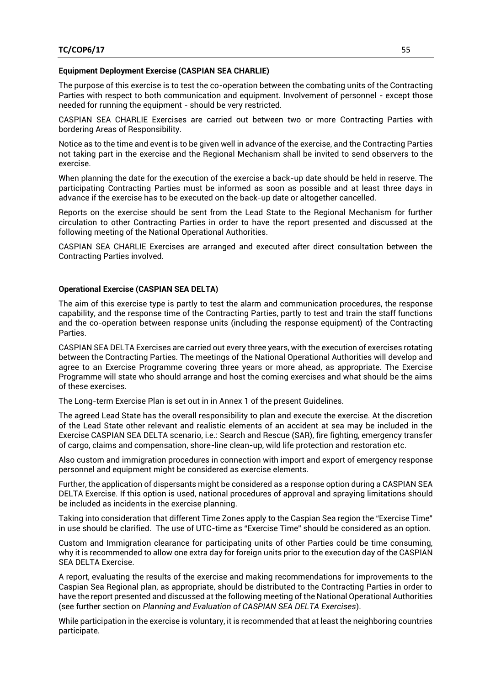#### **Equipment Deployment Exercise (CASPIAN SEA CHARLIE)**

The purpose of this exercise is to test the co-operation between the combating units of the Contracting Parties with respect to both communication and equipment. Involvement of personnel - except those needed for running the equipment - should be very restricted.

CASPIAN SEA CHARLIE Exercises are carried out between two or more Contracting Parties with bordering Areas of Responsibility.

Notice as to the time and event is to be given well in advance of the exercise, and the Contracting Parties not taking part in the exercise and the Regional Mechanism shall be invited to send observers to the exercise.

When planning the date for the execution of the exercise a back-up date should be held in reserve. The participating Contracting Parties must be informed as soon as possible and at least three days in advance if the exercise has to be executed on the back-up date or altogether cancelled.

Reports on the exercise should be sent from the Lead State to the Regional Mechanism for further circulation to other Contracting Parties in order to have the report presented and discussed at the following meeting of the National Operational Authorities.

CASPIAN SEA CHARLIE Exercises are arranged and executed after direct consultation between the Contracting Parties involved.

#### **Operational Exercise (CASPIAN SEA DELTA)**

The aim of this exercise type is partly to test the alarm and communication procedures, the response capability, and the response time of the Contracting Parties, partly to test and train the staff functions and the co-operation between response units (including the response equipment) of the Contracting Parties.

CASPIAN SEA DELTA Exercises are carried out every three years, with the execution of exercises rotating between the Contracting Parties. The meetings of the National Operational Authorities will develop and agree to an Exercise Programme covering three years or more ahead, as appropriate. The Exercise Programme will state who should arrange and host the coming exercises and what should be the aims of these exercises.

The Long-term Exercise Plan is set out in in Annex 1 of the present Guidelines.

The agreed Lead State has the overall responsibility to plan and execute the exercise. At the discretion of the Lead State other relevant and realistic elements of an accident at sea may be included in the Exercise CASPIAN SEA DELTA scenario, i.e.: Search and Rescue (SAR), fire fighting, emergency transfer of cargo, claims and compensation, shore-line clean-up, wild life protection and restoration etc.

Also custom and immigration procedures in connection with import and export of emergency response personnel and equipment might be considered as exercise elements.

Further, the application of dispersants might be considered as a response option during a CASPIAN SEA DELTA Exercise. If this option is used, national procedures of approval and spraying limitations should be included as incidents in the exercise planning.

Taking into consideration that different Time Zones apply to the Caspian Sea region the "Exercise Time" in use should be clarified. The use of UTC-time as "Exercise Time" should be considered as an option.

Custom and Immigration clearance for participating units of other Parties could be time consuming, why it is recommended to allow one extra day for foreign units prior to the execution day of the CASPIAN SEA DELTA Exercise.

A report, evaluating the results of the exercise and making recommendations for improvements to the Caspian Sea Regional plan, as appropriate, should be distributed to the Contracting Parties in order to have the report presented and discussed at the following meeting of the National Operational Authorities (see further section on *Planning and Evaluation of CASPIAN SEA DELTA Exercises*).

While participation in the exercise is voluntary, it is recommended that at least the neighboring countries participate.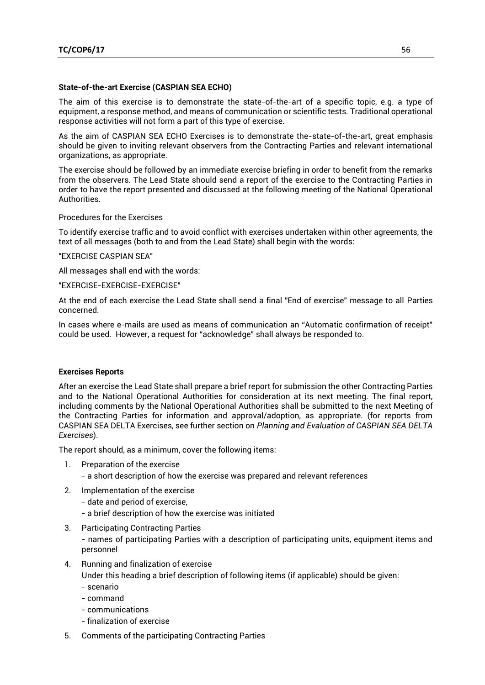#### **State-of-the-art Exercise (CASPIAN SEA ECHO)**

The aim of this exercise is to demonstrate the state-of-the-art of a specific topic, e.g. a type of equipment, a response method, and means of communication or scientific tests. Traditional operational response activities will not form a part of this type of exercise.

As the aim of CASPIAN SEA ECHO Exercises is to demonstrate the-state-of-the-art, great emphasis should be given to inviting relevant observers from the Contracting Parties and relevant international organizations, as appropriate.

The exercise should be followed by an immediate exercise briefing in order to benefit from the remarks from the observers. The Lead State should send a report of the exercise to the Contracting Parties in order to have the report presented and discussed at the following meeting of the National Operational Authorities.

### Procedures for the Exercises

To identify exercise traffic and to avoid conflict with exercises undertaken within other agreements, the text of all messages (both to and from the Lead State) shall begin with the words:

#### "EXERCISE CASPIAN SEA"

All messages shall end with the words:

#### "EXERCISE-EXERCISE-EXERCISE"

At the end of each exercise the Lead State shall send a final "End of exercise" message to all Parties concerned.

In cases where e-mails are used as means of communication an "Automatic confirmation of receipt" could be used. However, a request for "acknowledge" shall always be responded to.

#### **Exercises Reports**

After an exercise the Lead State shall prepare a brief report for submission the other Contracting Parties and to the National Operational Authorities for consideration at its next meeting. The final report, including comments by the National Operational Authorities shall be submitted to the next Meeting of the Contracting Parties for information and approval/adoption, as appropriate. (for reports from CASPIAN SEA DELTA Exercises, see further section on *Planning and Evaluation of CASPIAN SEA DELTA Exercises*).

The report should, as a minimum, cover the following items:

- 1. Preparation of the exercise
	- a short description of how the exercise was prepared and relevant references
- 2. Implementation of the exercise
	- date and period of exercise,
	- a brief description of how the exercise was initiated
- 3. Participating Contracting Parties
	- names of participating Parties with a description of participating units, equipment items and personnel
- 4. Running and finalization of exercise

Under this heading a brief description of following items (if applicable) should be given:

- scenario
- command
- communications
- finalization of exercise
- 5. Comments of the participating Contracting Parties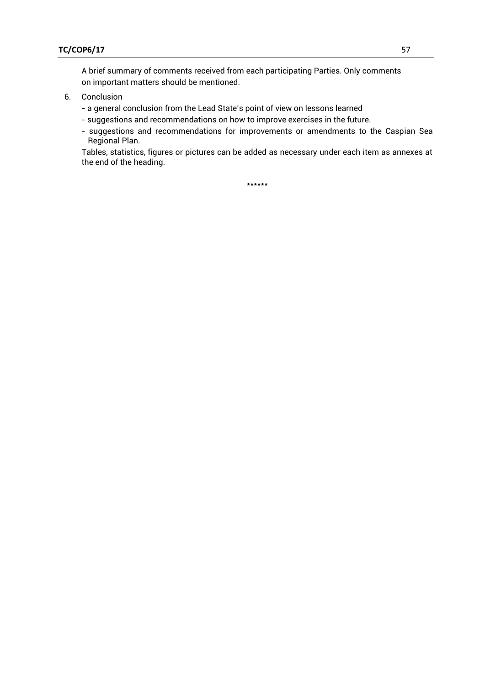A brief summary of comments received from each participating Parties. Only comments on important matters should be mentioned.

- 6. Conclusion
	- a general conclusion from the Lead State's point of view on lessons learned
	- suggestions and recommendations on how to improve exercises in the future.
	- suggestions and recommendations for improvements or amendments to the Caspian Sea Regional Plan.

Tables, statistics, figures or pictures can be added as necessary under each item as annexes at the end of the heading.

\*\*\*\*\*\*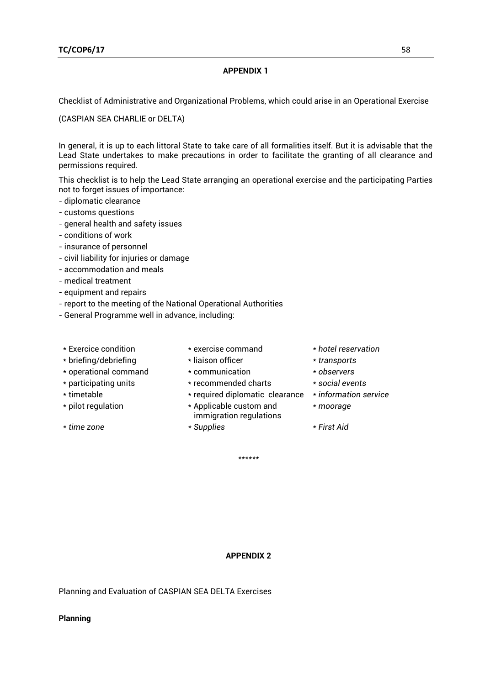### **APPENDIX 1**

Checklist of Administrative and Organizational Problems, which could arise in an Operational Exercise

(CASPIAN SEA CHARLIE or DELTA)

In general, it is up to each littoral State to take care of all formalities itself. But it is advisable that the Lead State undertakes to make precautions in order to facilitate the granting of all clearance and permissions required.

This checklist is to help the Lead State arranging an operational exercise and the participating Parties not to forget issues of importance:

- diplomatic clearance
- customs questions
- general health and safety issues
- conditions of work
- insurance of personnel
- civil liability for injuries or damage
- accommodation and meals
- medical treatment
- equipment and repairs
- report to the meeting of the National Operational Authorities
- General Programme well in advance, including:
- 
- \* briefing/debriefing \* liaison officer *\* transports*
- \* operational command \* communication *\* observers*
- \* participating units \* recommended charts *\* social events*
- 
- 
- *\* time zone \* Supplies \* First Aid*
- \* Exercice condition \* exercise command *\* hotel reservation*
	-
	-
	-
- \* timetable \* required diplomatic clearance *\* information service*

*\*\*\*\*\*\**

- \* pilot regulation \* Applicable custom and immigration regulations
	-
- 
- 
- 
- 
- 
- *\* moorage*
- 

**APPENDIX 2**

Planning and Evaluation of CASPIAN SEA DELTA Exercises

#### **Planning**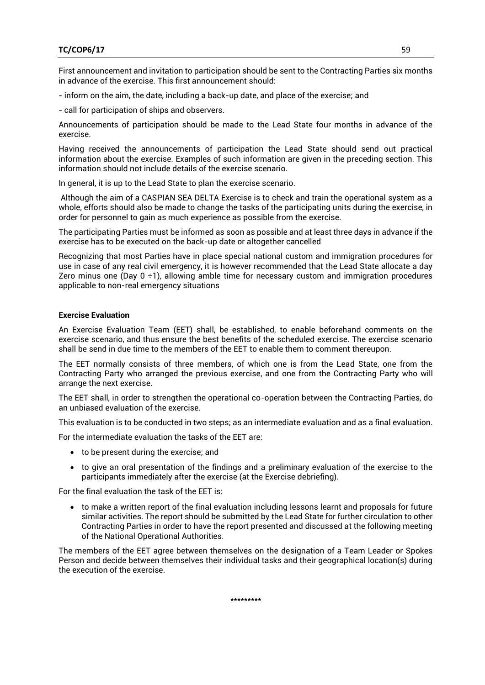First announcement and invitation to participation should be sent to the Contracting Parties six months in advance of the exercise. This first announcement should:

- inform on the aim, the date, including a back-up date, and place of the exercise; and

- call for participation of ships and observers.

Announcements of participation should be made to the Lead State four months in advance of the exercise.

Having received the announcements of participation the Lead State should send out practical information about the exercise. Examples of such information are given in the preceding section. This information should not include details of the exercise scenario.

In general, it is up to the Lead State to plan the exercise scenario.

Although the aim of a CASPIAN SEA DELTA Exercise is to check and train the operational system as a whole, efforts should also be made to change the tasks of the participating units during the exercise, in order for personnel to gain as much experience as possible from the exercise.

The participating Parties must be informed as soon as possible and at least three days in advance if the exercise has to be executed on the back-up date or altogether cancelled

Recognizing that most Parties have in place special national custom and immigration procedures for use in case of any real civil emergency, it is however recommended that the Lead State allocate a day Zero minus one (Day  $0 \div 1$ ), allowing amble time for necessary custom and immigration procedures applicable to non-real emergency situations

#### **Exercise Evaluation**

An Exercise Evaluation Team (EET) shall, be established, to enable beforehand comments on the exercise scenario, and thus ensure the best benefits of the scheduled exercise. The exercise scenario shall be send in due time to the members of the EET to enable them to comment thereupon.

The EET normally consists of three members, of which one is from the Lead State, one from the Contracting Party who arranged the previous exercise, and one from the Contracting Party who will arrange the next exercise.

The EET shall, in order to strengthen the operational co-operation between the Contracting Parties, do an unbiased evaluation of the exercise.

This evaluation is to be conducted in two steps; as an intermediate evaluation and as a final evaluation.

For the intermediate evaluation the tasks of the EET are:

- to be present during the exercise; and
- to give an oral presentation of the findings and a preliminary evaluation of the exercise to the participants immediately after the exercise (at the Exercise debriefing).

For the final evaluation the task of the EET is:

• to make a written report of the final evaluation including lessons learnt and proposals for future similar activities. The report should be submitted by the Lead State for further circulation to other Contracting Parties in order to have the report presented and discussed at the following meeting of the National Operational Authorities.

The members of the EET agree between themselves on the designation of a Team Leader or Spokes Person and decide between themselves their individual tasks and their geographical location(s) during the execution of the exercise.

**\*\*\*\*\*\*\*\*\***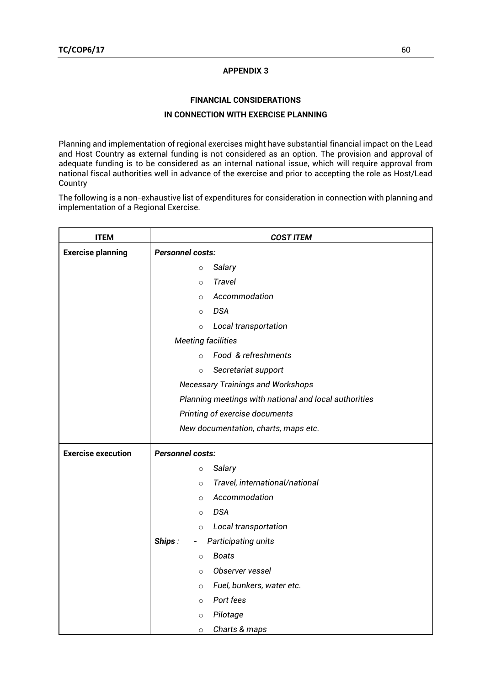#### **APPENDIX 3**

#### **FINANCIAL CONSIDERATIONS**

#### **IN CONNECTION WITH EXERCISE PLANNING**

Planning and implementation of regional exercises might have substantial financial impact on the Lead and Host Country as external funding is not considered as an option. The provision and approval of adequate funding is to be considered as an internal national issue, which will require approval from national fiscal authorities well in advance of the exercise and prior to accepting the role as Host/Lead **Country** 

The following is a non-exhaustive list of expenditures for consideration in connection with planning and implementation of a Regional Exercise.

| <b>ITEM</b>               | <b>COST ITEM</b>                                              |  |  |  |
|---------------------------|---------------------------------------------------------------|--|--|--|
| <b>Exercise planning</b>  | <b>Personnel costs:</b>                                       |  |  |  |
|                           | Salary<br>$\circ$                                             |  |  |  |
|                           | <b>Travel</b><br>$\circ$                                      |  |  |  |
|                           | Accommodation<br>$\circ$                                      |  |  |  |
|                           | <b>DSA</b><br>$\circ$                                         |  |  |  |
|                           | Local transportation<br>$\circ$                               |  |  |  |
|                           | <b>Meeting facilities</b>                                     |  |  |  |
|                           | Food & refreshments<br>$\circ$                                |  |  |  |
|                           | Secretariat support<br>$\circ$                                |  |  |  |
|                           | <b>Necessary Trainings and Workshops</b>                      |  |  |  |
|                           | Planning meetings with national and local authorities         |  |  |  |
|                           | Printing of exercise documents                                |  |  |  |
|                           | New documentation, charts, maps etc.                          |  |  |  |
| <b>Exercise execution</b> | <b>Personnel costs:</b>                                       |  |  |  |
|                           | Salary<br>$\circ$                                             |  |  |  |
|                           | Travel, international/national<br>$\circ$                     |  |  |  |
|                           | Accommodation<br>$\circ$                                      |  |  |  |
|                           | <b>DSA</b><br>$\circ$                                         |  |  |  |
|                           | Local transportation<br>$\circ$                               |  |  |  |
|                           | Participating units<br>Ships:<br>$\qquad \qquad \blacksquare$ |  |  |  |
|                           | <b>Boats</b><br>$\circ$                                       |  |  |  |
|                           | Observer vessel<br>$\circ$                                    |  |  |  |
|                           | Fuel, bunkers, water etc.<br>$\circ$                          |  |  |  |
|                           | Port fees<br>$\circ$                                          |  |  |  |
|                           | Pilotage<br>$\circ$                                           |  |  |  |
|                           | Charts & maps<br>$\circ$                                      |  |  |  |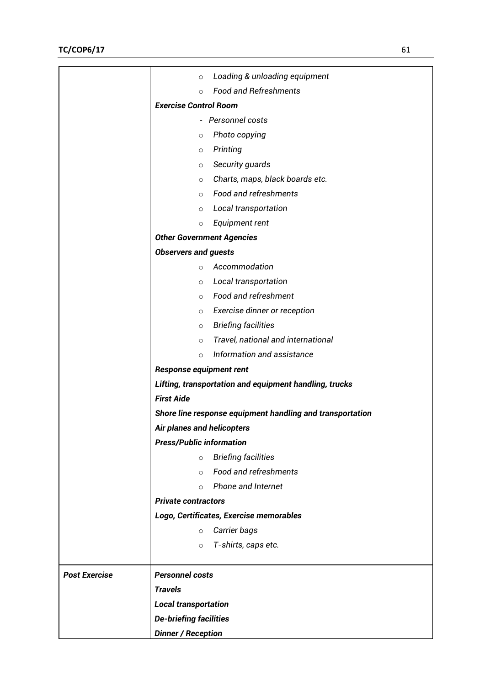|                      | Loading & unloading equipment<br>$\circ$                  |  |  |  |  |
|----------------------|-----------------------------------------------------------|--|--|--|--|
|                      | <b>Food and Refreshments</b><br>$\circ$                   |  |  |  |  |
|                      | <b>Exercise Control Room</b>                              |  |  |  |  |
|                      | - Personnel costs                                         |  |  |  |  |
|                      | Photo copying<br>$\circ$                                  |  |  |  |  |
|                      | Printing<br>$\circ$                                       |  |  |  |  |
|                      | Security guards<br>$\circ$                                |  |  |  |  |
|                      | Charts, maps, black boards etc.<br>$\circ$                |  |  |  |  |
|                      | Food and refreshments<br>$\circ$                          |  |  |  |  |
|                      | Local transportation<br>$\circ$                           |  |  |  |  |
|                      | Equipment rent<br>$\circ$                                 |  |  |  |  |
|                      | <b>Other Government Agencies</b>                          |  |  |  |  |
|                      | <b>Observers and guests</b>                               |  |  |  |  |
|                      | Accommodation<br>$\Omega$                                 |  |  |  |  |
|                      | Local transportation<br>$\circ$                           |  |  |  |  |
|                      | Food and refreshment<br>$\circ$                           |  |  |  |  |
|                      | Exercise dinner or reception<br>$\circ$                   |  |  |  |  |
|                      | <b>Briefing facilities</b><br>$\circ$                     |  |  |  |  |
|                      | Travel, national and international<br>$\circ$             |  |  |  |  |
|                      | Information and assistance<br>$\circ$                     |  |  |  |  |
|                      | <b>Response equipment rent</b>                            |  |  |  |  |
|                      | Lifting, transportation and equipment handling, trucks    |  |  |  |  |
|                      | <b>First Aide</b>                                         |  |  |  |  |
|                      | Shore line response equipment handling and transportation |  |  |  |  |
|                      | Air planes and helicopters                                |  |  |  |  |
|                      | <b>Press/Public information</b>                           |  |  |  |  |
|                      | <b>Briefing facilities</b><br>$\Omega$                    |  |  |  |  |
|                      | Food and refreshments<br>$\Omega$                         |  |  |  |  |
|                      | <b>Phone and Internet</b><br>$\Omega$                     |  |  |  |  |
|                      | <b>Private contractors</b>                                |  |  |  |  |
|                      | Logo, Certificates, Exercise memorables                   |  |  |  |  |
|                      | Carrier bags<br>$\Omega$                                  |  |  |  |  |
|                      | T-shirts, caps etc.<br>$\circ$                            |  |  |  |  |
|                      |                                                           |  |  |  |  |
| <b>Post Exercise</b> | <b>Personnel costs</b>                                    |  |  |  |  |
|                      | <b>Travels</b>                                            |  |  |  |  |
|                      | <b>Local transportation</b>                               |  |  |  |  |
|                      | <b>De-briefing facilities</b>                             |  |  |  |  |
|                      | <b>Dinner / Reception</b>                                 |  |  |  |  |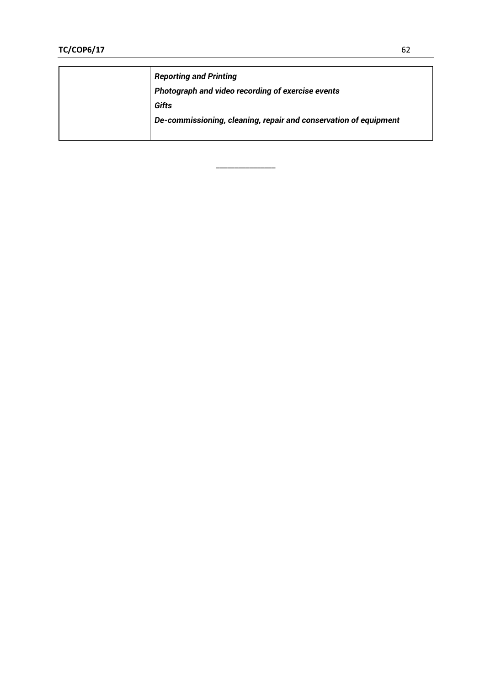| <b>Reporting and Printing</b>                                    |
|------------------------------------------------------------------|
| Photograph and video recording of exercise events                |
| Gifts                                                            |
| De-commissioning, cleaning, repair and conservation of equipment |
|                                                                  |

\_\_\_\_\_\_\_\_\_\_\_\_\_\_\_\_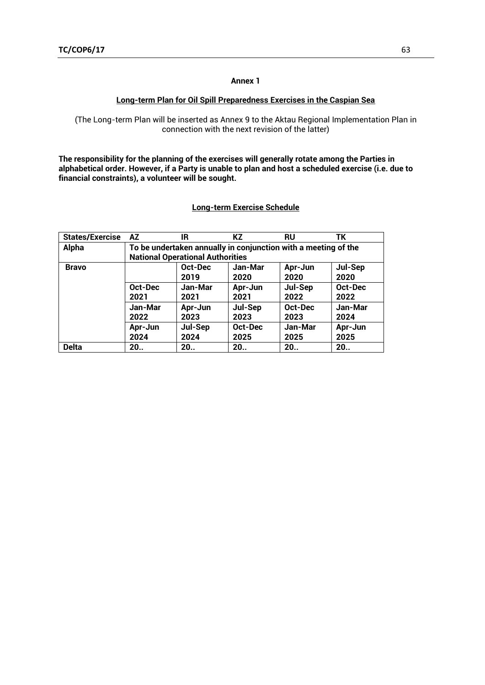#### **Annex 1**

#### **Long-term Plan for Oil Spill Preparedness Exercises in the Caspian Sea**

(The Long-term Plan will be inserted as Annex 9 to the Aktau Regional Implementation Plan in connection with the next revision of the latter)

**The responsibility for the planning of the exercises will generally rotate among the Parties in alphabetical order. However, if a Party is unable to plan and host a scheduled exercise (i.e. due to financial constraints), a volunteer will be sought.**

### **Long-term Exercise Schedule**

| <b>States/Exercise</b> | <b>AZ</b>                                                      | IR      | KZ      | <b>RU</b> | TΚ      |
|------------------------|----------------------------------------------------------------|---------|---------|-----------|---------|
| <b>Alpha</b>           | To be undertaken annually in conjunction with a meeting of the |         |         |           |         |
|                        | <b>National Operational Authorities</b>                        |         |         |           |         |
| <b>Bravo</b>           |                                                                | Oct-Dec | Jan-Mar | Apr-Jun   | Jul-Sep |
|                        |                                                                | 2019    | 2020    | 2020      | 2020    |
|                        | Oct-Dec                                                        | Jan-Mar | Apr-Jun | Jul-Sep   | Oct-Dec |
|                        | 2021                                                           | 2021    | 2021    | 2022      | 2022    |
|                        | Jan-Mar                                                        | Apr-Jun | Jul-Sep | Oct-Dec   | Jan-Mar |
|                        | 2022                                                           | 2023    | 2023    | 2023      | 2024    |
|                        | Apr-Jun                                                        | Jul-Sep | Oct-Dec | Jan-Mar   | Apr-Jun |
|                        | 2024                                                           | 2024    | 2025    | 2025      | 2025    |
| <b>Delta</b>           | 20.                                                            | 20.     | 20.     | 20.       | 20.     |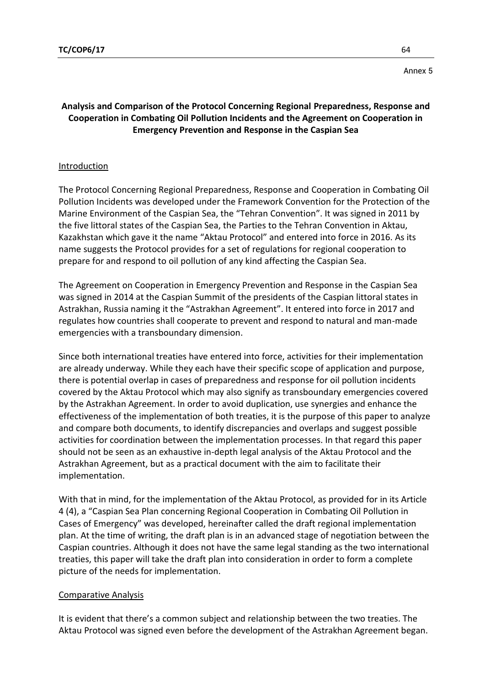Annex 5

## **Analysis and Comparison of the Protocol Concerning Regional Preparedness, Response and Cooperation in Combating Oil Pollution Incidents and the Agreement on Cooperation in Emergency Prevention and Response in the Caspian Sea**

### Introduction

The Protocol Concerning Regional Preparedness, Response and Cooperation in Combating Oil Pollution Incidents was developed under the Framework Convention for the Protection of the Marine Environment of the Caspian Sea, the "Tehran Convention". It was signed in 2011 by the five littoral states of the Caspian Sea, the Parties to the Tehran Convention in Aktau, Kazakhstan which gave it the name "Aktau Protocol" and entered into force in 2016. As its name suggests the Protocol provides for a set of regulations for regional cooperation to prepare for and respond to oil pollution of any kind affecting the Caspian Sea.

The Agreement on Cooperation in Emergency Prevention and Response in the Caspian Sea was signed in 2014 at the Caspian Summit of the presidents of the Caspian littoral states in Astrakhan, Russia naming it the "Astrakhan Agreement". It entered into force in 2017 and regulates how countries shall cooperate to prevent and respond to natural and man-made emergencies with a transboundary dimension.

Since both international treaties have entered into force, activities for their implementation are already underway. While they each have their specific scope of application and purpose, there is potential overlap in cases of preparedness and response for oil pollution incidents covered by the Aktau Protocol which may also signify as transboundary emergencies covered by the Astrakhan Agreement. In order to avoid duplication, use synergies and enhance the effectiveness of the implementation of both treaties, it is the purpose of this paper to analyze and compare both documents, to identify discrepancies and overlaps and suggest possible activities for coordination between the implementation processes. In that regard this paper should not be seen as an exhaustive in-depth legal analysis of the Aktau Protocol and the Astrakhan Agreement, but as a practical document with the aim to facilitate their implementation.

With that in mind, for the implementation of the Aktau Protocol, as provided for in its Article 4 (4), a "Caspian Sea Plan concerning Regional Cooperation in Combating Oil Pollution in Cases of Emergency" was developed, hereinafter called the draft regional implementation plan. At the time of writing, the draft plan is in an advanced stage of negotiation between the Caspian countries. Although it does not have the same legal standing as the two international treaties, this paper will take the draft plan into consideration in order to form a complete picture of the needs for implementation.

#### Comparative Analysis

It is evident that there's a common subject and relationship between the two treaties. The Aktau Protocol was signed even before the development of the Astrakhan Agreement began.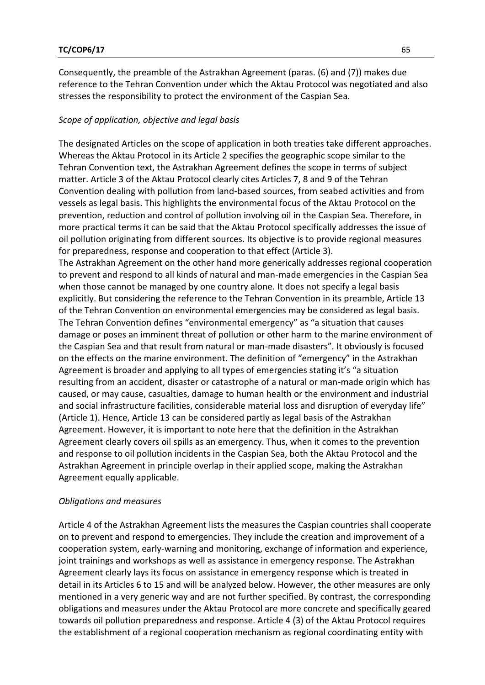Consequently, the preamble of the Astrakhan Agreement (paras. (6) and (7)) makes due reference to the Tehran Convention under which the Aktau Protocol was negotiated and also stresses the responsibility to protect the environment of the Caspian Sea.

### *Scope of application, objective and legal basis*

The designated Articles on the scope of application in both treaties take different approaches. Whereas the Aktau Protocol in its Article 2 specifies the geographic scope similar to the Tehran Convention text, the Astrakhan Agreement defines the scope in terms of subject matter. Article 3 of the Aktau Protocol clearly cites Articles 7, 8 and 9 of the Tehran Convention dealing with pollution from land-based sources, from seabed activities and from vessels as legal basis. This highlights the environmental focus of the Aktau Protocol on the prevention, reduction and control of pollution involving oil in the Caspian Sea. Therefore, in more practical terms it can be said that the Aktau Protocol specifically addresses the issue of oil pollution originating from different sources. Its objective is to provide regional measures for preparedness, response and cooperation to that effect (Article 3).

The Astrakhan Agreement on the other hand more generically addresses regional cooperation to prevent and respond to all kinds of natural and man-made emergencies in the Caspian Sea when those cannot be managed by one country alone. It does not specify a legal basis explicitly. But considering the reference to the Tehran Convention in its preamble, Article 13 of the Tehran Convention on environmental emergencies may be considered as legal basis. The Tehran Convention defines "environmental emergency" as "a situation that causes damage or poses an imminent threat of pollution or other harm to the marine environment of the Caspian Sea and that result from natural or man-made disasters". It obviously is focused on the effects on the marine environment. The definition of "emergency" in the Astrakhan Agreement is broader and applying to all types of emergencies stating it's "a situation resulting from an accident, disaster or catastrophe of a natural or man-made origin which has caused, or may cause, casualties, damage to human health or the environment and industrial and social infrastructure facilities, considerable material loss and disruption of everyday life" (Article 1). Hence, Article 13 can be considered partly as legal basis of the Astrakhan Agreement. However, it is important to note here that the definition in the Astrakhan Agreement clearly covers oil spills as an emergency. Thus, when it comes to the prevention and response to oil pollution incidents in the Caspian Sea, both the Aktau Protocol and the Astrakhan Agreement in principle overlap in their applied scope, making the Astrakhan Agreement equally applicable.

### *Obligations and measures*

Article 4 of the Astrakhan Agreement lists the measures the Caspian countries shall cooperate on to prevent and respond to emergencies. They include the creation and improvement of a cooperation system, early-warning and monitoring, exchange of information and experience, joint trainings and workshops as well as assistance in emergency response. The Astrakhan Agreement clearly lays its focus on assistance in emergency response which is treated in detail in its Articles 6 to 15 and will be analyzed below. However, the other measures are only mentioned in a very generic way and are not further specified. By contrast, the corresponding obligations and measures under the Aktau Protocol are more concrete and specifically geared towards oil pollution preparedness and response. Article 4 (3) of the Aktau Protocol requires the establishment of a regional cooperation mechanism as regional coordinating entity with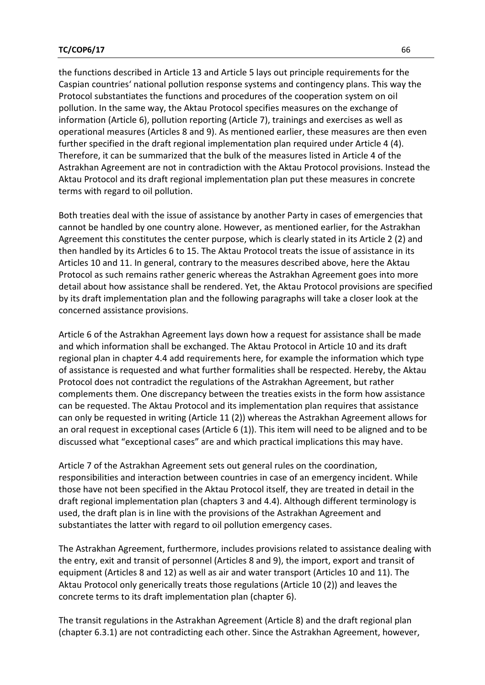the functions described in Article 13 and Article 5 lays out principle requirements for the Caspian countries' national pollution response systems and contingency plans. This way the Protocol substantiates the functions and procedures of the cooperation system on oil pollution. In the same way, the Aktau Protocol specifies measures on the exchange of information (Article 6), pollution reporting (Article 7), trainings and exercises as well as operational measures (Articles 8 and 9). As mentioned earlier, these measures are then even further specified in the draft regional implementation plan required under Article 4 (4). Therefore, it can be summarized that the bulk of the measures listed in Article 4 of the Astrakhan Agreement are not in contradiction with the Aktau Protocol provisions. Instead the Aktau Protocol and its draft regional implementation plan put these measures in concrete terms with regard to oil pollution.

Both treaties deal with the issue of assistance by another Party in cases of emergencies that cannot be handled by one country alone. However, as mentioned earlier, for the Astrakhan Agreement this constitutes the center purpose, which is clearly stated in its Article 2 (2) and then handled by its Articles 6 to 15. The Aktau Protocol treats the issue of assistance in its Articles 10 and 11. In general, contrary to the measures described above, here the Aktau Protocol as such remains rather generic whereas the Astrakhan Agreement goes into more detail about how assistance shall be rendered. Yet, the Aktau Protocol provisions are specified by its draft implementation plan and the following paragraphs will take a closer look at the concerned assistance provisions.

Article 6 of the Astrakhan Agreement lays down how a request for assistance shall be made and which information shall be exchanged. The Aktau Protocol in Article 10 and its draft regional plan in chapter 4.4 add requirements here, for example the information which type of assistance is requested and what further formalities shall be respected. Hereby, the Aktau Protocol does not contradict the regulations of the Astrakhan Agreement, but rather complements them. One discrepancy between the treaties exists in the form how assistance can be requested. The Aktau Protocol and its implementation plan requires that assistance can only be requested in writing (Article 11 (2)) whereas the Astrakhan Agreement allows for an oral request in exceptional cases (Article 6 (1)). This item will need to be aligned and to be discussed what "exceptional cases" are and which practical implications this may have.

Article 7 of the Astrakhan Agreement sets out general rules on the coordination, responsibilities and interaction between countries in case of an emergency incident. While those have not been specified in the Aktau Protocol itself, they are treated in detail in the draft regional implementation plan (chapters 3 and 4.4). Although different terminology is used, the draft plan is in line with the provisions of the Astrakhan Agreement and substantiates the latter with regard to oil pollution emergency cases.

The Astrakhan Agreement, furthermore, includes provisions related to assistance dealing with the entry, exit and transit of personnel (Articles 8 and 9), the import, export and transit of equipment (Articles 8 and 12) as well as air and water transport (Articles 10 and 11). The Aktau Protocol only generically treats those regulations (Article 10 (2)) and leaves the concrete terms to its draft implementation plan (chapter 6).

The transit regulations in the Astrakhan Agreement (Article 8) and the draft regional plan (chapter 6.3.1) are not contradicting each other. Since the Astrakhan Agreement, however,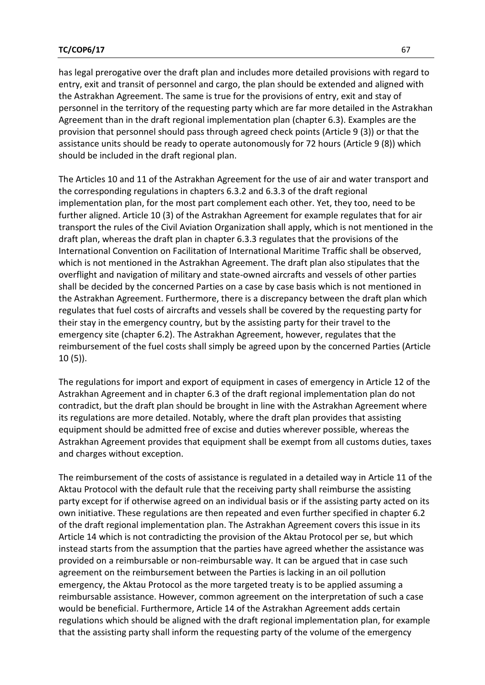has legal prerogative over the draft plan and includes more detailed provisions with regard to entry, exit and transit of personnel and cargo, the plan should be extended and aligned with the Astrakhan Agreement. The same is true for the provisions of entry, exit and stay of personnel in the territory of the requesting party which are far more detailed in the Astrakhan Agreement than in the draft regional implementation plan (chapter 6.3). Examples are the provision that personnel should pass through agreed check points (Article 9 (3)) or that the assistance units should be ready to operate autonomously for 72 hours (Article 9 (8)) which should be included in the draft regional plan.

The Articles 10 and 11 of the Astrakhan Agreement for the use of air and water transport and the corresponding regulations in chapters 6.3.2 and 6.3.3 of the draft regional implementation plan, for the most part complement each other. Yet, they too, need to be further aligned. Article 10 (3) of the Astrakhan Agreement for example regulates that for air transport the rules of the Civil Aviation Organization shall apply, which is not mentioned in the draft plan, whereas the draft plan in chapter 6.3.3 regulates that the provisions of the International Convention on Facilitation of International Maritime Traffic shall be observed, which is not mentioned in the Astrakhan Agreement. The draft plan also stipulates that the overflight and navigation of military and state-owned aircrafts and vessels of other parties shall be decided by the concerned Parties on a case by case basis which is not mentioned in the Astrakhan Agreement. Furthermore, there is a discrepancy between the draft plan which regulates that fuel costs of aircrafts and vessels shall be covered by the requesting party for their stay in the emergency country, but by the assisting party for their travel to the emergency site (chapter 6.2). The Astrakhan Agreement, however, regulates that the reimbursement of the fuel costs shall simply be agreed upon by the concerned Parties (Article 10 (5)).

The regulations for import and export of equipment in cases of emergency in Article 12 of the Astrakhan Agreement and in chapter 6.3 of the draft regional implementation plan do not contradict, but the draft plan should be brought in line with the Astrakhan Agreement where its regulations are more detailed. Notably, where the draft plan provides that assisting equipment should be admitted free of excise and duties wherever possible, whereas the Astrakhan Agreement provides that equipment shall be exempt from all customs duties, taxes and charges without exception.

The reimbursement of the costs of assistance is regulated in a detailed way in Article 11 of the Aktau Protocol with the default rule that the receiving party shall reimburse the assisting party except for if otherwise agreed on an individual basis or if the assisting party acted on its own initiative. These regulations are then repeated and even further specified in chapter 6.2 of the draft regional implementation plan. The Astrakhan Agreement covers this issue in its Article 14 which is not contradicting the provision of the Aktau Protocol per se, but which instead starts from the assumption that the parties have agreed whether the assistance was provided on a reimbursable or non-reimbursable way. It can be argued that in case such agreement on the reimbursement between the Parties is lacking in an oil pollution emergency, the Aktau Protocol as the more targeted treaty is to be applied assuming a reimbursable assistance. However, common agreement on the interpretation of such a case would be beneficial. Furthermore, Article 14 of the Astrakhan Agreement adds certain regulations which should be aligned with the draft regional implementation plan, for example that the assisting party shall inform the requesting party of the volume of the emergency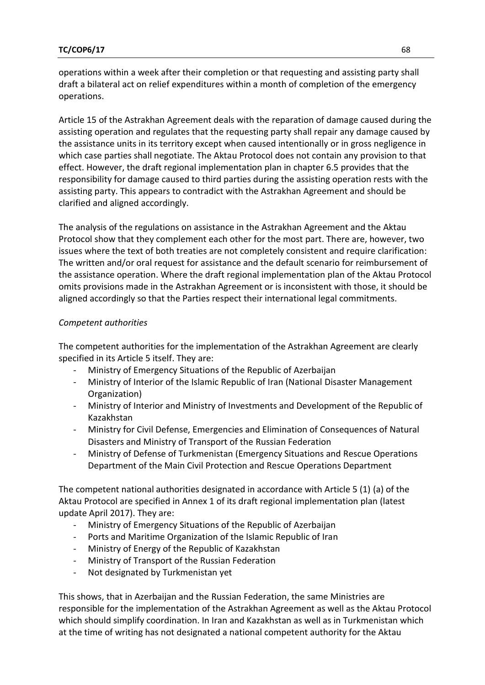operations within a week after their completion or that requesting and assisting party shall draft a bilateral act on relief expenditures within a month of completion of the emergency operations.

Article 15 of the Astrakhan Agreement deals with the reparation of damage caused during the assisting operation and regulates that the requesting party shall repair any damage caused by the assistance units in its territory except when caused intentionally or in gross negligence in which case parties shall negotiate. The Aktau Protocol does not contain any provision to that effect. However, the draft regional implementation plan in chapter 6.5 provides that the responsibility for damage caused to third parties during the assisting operation rests with the assisting party. This appears to contradict with the Astrakhan Agreement and should be clarified and aligned accordingly.

The analysis of the regulations on assistance in the Astrakhan Agreement and the Aktau Protocol show that they complement each other for the most part. There are, however, two issues where the text of both treaties are not completely consistent and require clarification: The written and/or oral request for assistance and the default scenario for reimbursement of the assistance operation. Where the draft regional implementation plan of the Aktau Protocol omits provisions made in the Astrakhan Agreement or is inconsistent with those, it should be aligned accordingly so that the Parties respect their international legal commitments.

## *Competent authorities*

The competent authorities for the implementation of the Astrakhan Agreement are clearly specified in its Article 5 itself. They are:

- Ministry of Emergency Situations of the Republic of Azerbaijan
- Ministry of Interior of the Islamic Republic of Iran (National Disaster Management Organization)
- Ministry of Interior and Ministry of Investments and Development of the Republic of Kazakhstan
- Ministry for Civil Defense, Emergencies and Elimination of Consequences of Natural Disasters and Ministry of Transport of the Russian Federation
- Ministry of Defense of Turkmenistan (Emergency Situations and Rescue Operations Department of the Main Civil Protection and Rescue Operations Department

The competent national authorities designated in accordance with Article 5 (1) (a) of the Aktau Protocol are specified in Annex 1 of its draft regional implementation plan (latest update April 2017). They are:

- Ministry of Emergency Situations of the Republic of Azerbaijan
- Ports and Maritime Organization of the Islamic Republic of Iran
- Ministry of Energy of the Republic of Kazakhstan
- Ministry of Transport of the Russian Federation
- Not designated by Turkmenistan yet

This shows, that in Azerbaijan and the Russian Federation, the same Ministries are responsible for the implementation of the Astrakhan Agreement as well as the Aktau Protocol which should simplify coordination. In Iran and Kazakhstan as well as in Turkmenistan which at the time of writing has not designated a national competent authority for the Aktau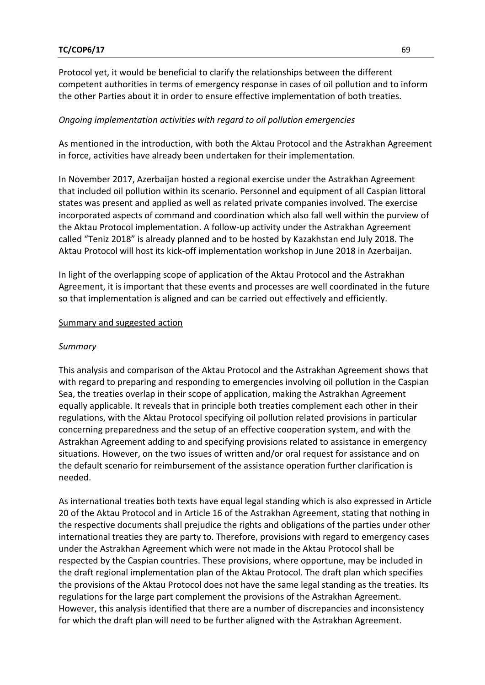Protocol yet, it would be beneficial to clarify the relationships between the different competent authorities in terms of emergency response in cases of oil pollution and to inform the other Parties about it in order to ensure effective implementation of both treaties.

### *Ongoing implementation activities with regard to oil pollution emergencies*

As mentioned in the introduction, with both the Aktau Protocol and the Astrakhan Agreement in force, activities have already been undertaken for their implementation.

In November 2017, Azerbaijan hosted a regional exercise under the Astrakhan Agreement that included oil pollution within its scenario. Personnel and equipment of all Caspian littoral states was present and applied as well as related private companies involved. The exercise incorporated aspects of command and coordination which also fall well within the purview of the Aktau Protocol implementation. A follow-up activity under the Astrakhan Agreement called "Teniz 2018" is already planned and to be hosted by Kazakhstan end July 2018. The Aktau Protocol will host its kick-off implementation workshop in June 2018 in Azerbaijan.

In light of the overlapping scope of application of the Aktau Protocol and the Astrakhan Agreement, it is important that these events and processes are well coordinated in the future so that implementation is aligned and can be carried out effectively and efficiently.

#### Summary and suggested action

#### *Summary*

This analysis and comparison of the Aktau Protocol and the Astrakhan Agreement shows that with regard to preparing and responding to emergencies involving oil pollution in the Caspian Sea, the treaties overlap in their scope of application, making the Astrakhan Agreement equally applicable. It reveals that in principle both treaties complement each other in their regulations, with the Aktau Protocol specifying oil pollution related provisions in particular concerning preparedness and the setup of an effective cooperation system, and with the Astrakhan Agreement adding to and specifying provisions related to assistance in emergency situations. However, on the two issues of written and/or oral request for assistance and on the default scenario for reimbursement of the assistance operation further clarification is needed.

As international treaties both texts have equal legal standing which is also expressed in Article 20 of the Aktau Protocol and in Article 16 of the Astrakhan Agreement, stating that nothing in the respective documents shall prejudice the rights and obligations of the parties under other international treaties they are party to. Therefore, provisions with regard to emergency cases under the Astrakhan Agreement which were not made in the Aktau Protocol shall be respected by the Caspian countries. These provisions, where opportune, may be included in the draft regional implementation plan of the Aktau Protocol. The draft plan which specifies the provisions of the Aktau Protocol does not have the same legal standing as the treaties. Its regulations for the large part complement the provisions of the Astrakhan Agreement. However, this analysis identified that there are a number of discrepancies and inconsistency for which the draft plan will need to be further aligned with the Astrakhan Agreement.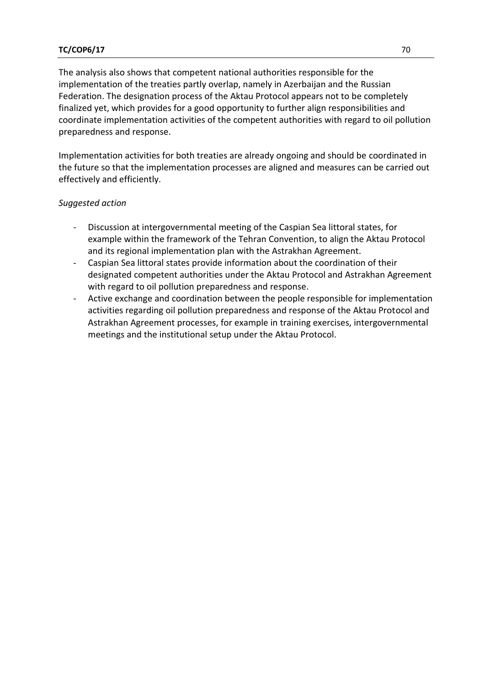## **TC/COP6/17** 70

The analysis also shows that competent national authorities responsible for the implementation of the treaties partly overlap, namely in Azerbaijan and the Russian Federation. The designation process of the Aktau Protocol appears not to be completely finalized yet, which provides for a good opportunity to further align responsibilities and coordinate implementation activities of the competent authorities with regard to oil pollution preparedness and response.

Implementation activities for both treaties are already ongoing and should be coordinated in the future so that the implementation processes are aligned and measures can be carried out effectively and efficiently.

### *Suggested action*

- Discussion at intergovernmental meeting of the Caspian Sea littoral states, for example within the framework of the Tehran Convention, to align the Aktau Protocol and its regional implementation plan with the Astrakhan Agreement.
- Caspian Sea littoral states provide information about the coordination of their designated competent authorities under the Aktau Protocol and Astrakhan Agreement with regard to oil pollution preparedness and response.
- Active exchange and coordination between the people responsible for implementation activities regarding oil pollution preparedness and response of the Aktau Protocol and Astrakhan Agreement processes, for example in training exercises, intergovernmental meetings and the institutional setup under the Aktau Protocol.